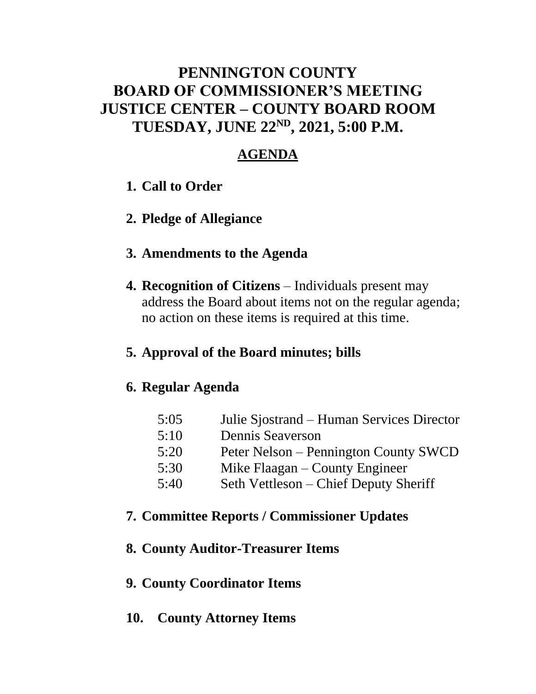### **PENNINGTON COUNTY BOARD OF COMMISSIONER'S MEETING JUSTICE CENTER – COUNTY BOARD ROOM TUESDAY, JUNE 22ND , 2021, 5:00 P.M.**

### **AGENDA**

- **1. Call to Order**
- **2. Pledge of Allegiance**

### **3. Amendments to the Agenda**

**4. Recognition of Citizens** – Individuals present may address the Board about items not on the regular agenda; no action on these items is required at this time.

### **5. Approval of the Board minutes; bills**

### **6. Regular Agenda**

- 5:05 Julie Sjostrand Human Services Director
- 5:10 Dennis Seaverson
- 5:20 Peter Nelson Pennington County SWCD
- 5:30 Mike Flaagan County Engineer
- 5:40 Seth Vettleson Chief Deputy Sheriff

### **7. Committee Reports / Commissioner Updates**

### **8. County Auditor-Treasurer Items**

### **9. County Coordinator Items**

**10. County Attorney Items**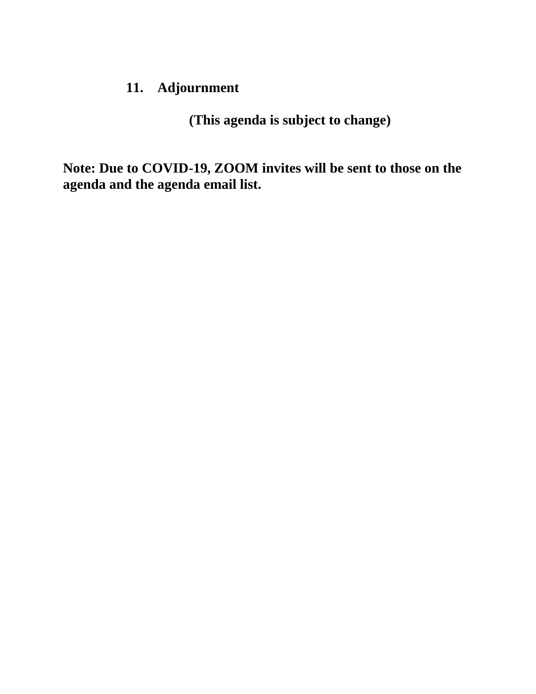### **11. Adjournment**

**(This agenda is subject to change)**

**Note: Due to COVID-19, ZOOM invites will be sent to those on the agenda and the agenda email list.**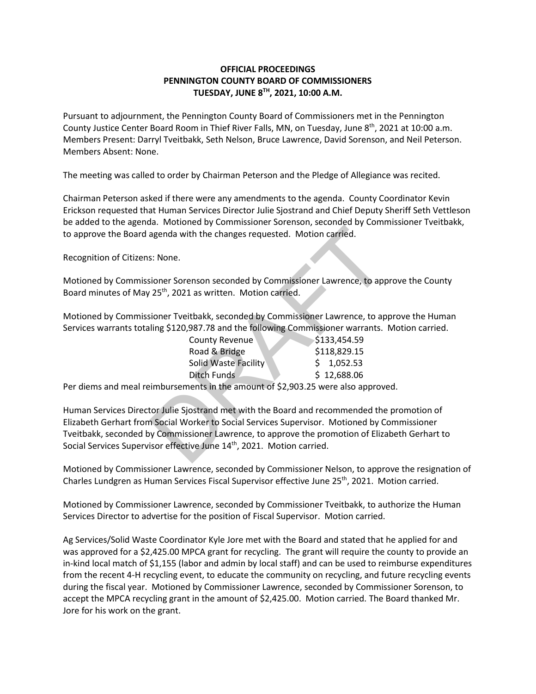#### **OFFICIAL PROCEEDINGS PENNINGTON COUNTY BOARD OF COMMISSIONERS TUESDAY, JUNE 8TH , 2021, 10:00 A.M.**

Pursuant to adjournment, the Pennington County Board of Commissioners met in the Pennington County Justice Center Board Room in Thief River Falls, MN, on Tuesday, June 8<sup>th</sup>, 2021 at 10:00 a.m. Members Present: Darryl Tveitbakk, Seth Nelson, Bruce Lawrence, David Sorenson, and Neil Peterson. Members Absent: None.

The meeting was called to order by Chairman Peterson and the Pledge of Allegiance was recited.

Chairman Peterson asked if there were any amendments to the agenda. County Coordinator Kevin Erickson requested that Human Services Director Julie Sjostrand and Chief Deputy Sheriff Seth Vettleson be added to the agenda. Motioned by Commissioner Sorenson, seconded by Commissioner Tveitbakk, to approve the Board agenda with the changes requested. Motion carried.

Recognition of Citizens: None.

Motioned by Commissioner Sorenson seconded by Commissioner Lawrence, to approve the County Board minutes of May 25<sup>th</sup>, 2021 as written. Motion carried.

Motioned by Commissioner Tveitbakk, seconded by Commissioner Lawrence, to approve the Human Services warrants totaling \$120,987.78 and the following Commissioner warrants. Motion carried.

| <b>County Revenue</b>       | \$133,454.59 |
|-----------------------------|--------------|
| Road & Bridge               | \$118,829.15 |
| <b>Solid Waste Facility</b> | \$1,052.53   |
| Ditch Funds                 | \$12,688.06  |

Per diems and meal reimbursements in the amount of \$2,903.25 were also approved.

Human Services Director Julie Sjostrand met with the Board and recommended the promotion of Elizabeth Gerhart from Social Worker to Social Services Supervisor. Motioned by Commissioner Tveitbakk, seconded by Commissioner Lawrence, to approve the promotion of Elizabeth Gerhart to Social Services Supervisor effective June 14<sup>th</sup>, 2021. Motion carried. and with the changes requested. Motion carried.<br>
S: None.<br>
S: None.<br>
S: None.<br>
S: None.<br>
S: None.<br>
S: None.<br>
DRAFT Are conted by Commissioner Lawrence, to appear and the following Commissioner Lawrence, to appear<br>
In the f

Motioned by Commissioner Lawrence, seconded by Commissioner Nelson, to approve the resignation of Charles Lundgren as Human Services Fiscal Supervisor effective June 25<sup>th</sup>, 2021. Motion carried.

Motioned by Commissioner Lawrence, seconded by Commissioner Tveitbakk, to authorize the Human Services Director to advertise for the position of Fiscal Supervisor. Motion carried.

Ag Services/Solid Waste Coordinator Kyle Jore met with the Board and stated that he applied for and was approved for a \$2,425.00 MPCA grant for recycling. The grant will require the county to provide an in-kind local match of \$1,155 (labor and admin by local staff) and can be used to reimburse expenditures from the recent 4-H recycling event, to educate the community on recycling, and future recycling events during the fiscal year. Motioned by Commissioner Lawrence, seconded by Commissioner Sorenson, to accept the MPCA recycling grant in the amount of \$2,425.00. Motion carried. The Board thanked Mr. Jore for his work on the grant.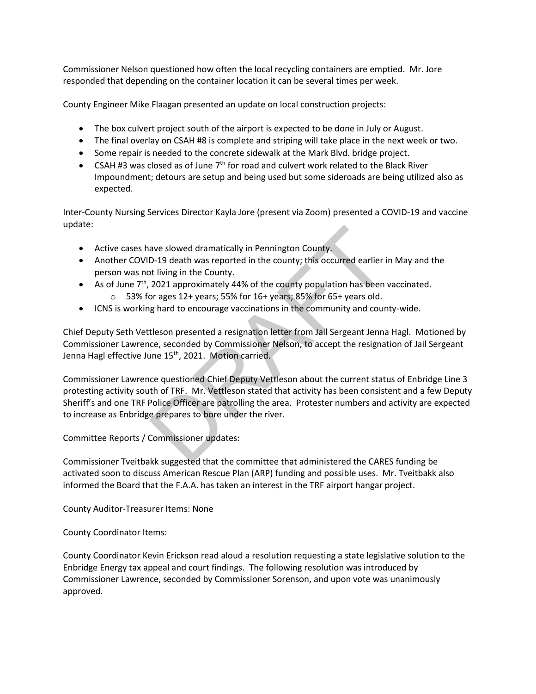Commissioner Nelson questioned how often the local recycling containers are emptied. Mr. Jore responded that depending on the container location it can be several times per week.

County Engineer Mike Flaagan presented an update on local construction projects:

- The box culvert project south of the airport is expected to be done in July or August.
- The final overlay on CSAH #8 is complete and striping will take place in the next week or two.
- Some repair is needed to the concrete sidewalk at the Mark Blvd. bridge project.
- CSAH #3 was closed as of June  $7<sup>th</sup>$  for road and culvert work related to the Black River Impoundment; detours are setup and being used but some sideroads are being utilized also as expected.

Inter-County Nursing Services Director Kayla Jore (present via Zoom) presented a COVID-19 and vaccine update:

- Active cases have slowed dramatically in Pennington County.
- Another COVID-19 death was reported in the county; this occurred earlier in May and the person was not living in the County.
- As of June 7<sup>th</sup>, 2021 approximately 44% of the county population has been vaccinated.
	- $\circ$  53% for ages 12+ years; 55% for 16+ years; 85% for 65+ years old.
- ICNS is working hard to encourage vaccinations in the community and county-wide.

Chief Deputy Seth Vettleson presented a resignation letter from Jail Sergeant Jenna Hagl. Motioned by Commissioner Lawrence, seconded by Commissioner Nelson, to accept the resignation of Jail Sergeant Jenna Hagl effective June 15<sup>th</sup>, 2021. Motion carried.

Commissioner Lawrence questioned Chief Deputy Vettleson about the current status of Enbridge Line 3 protesting activity south of TRF. Mr. Vettleson stated that activity has been consistent and a few Deputy Sheriff's and one TRF Police Officer are patrolling the area. Protester numbers and activity are expected to increase as Enbridge prepares to bore under the river. ave slowed dramatically in Pennington County.<br>
D-19 death was reported in the county; this occurred earlier in<br>
thiving in the County.<br>
2021 approximately 44% of the county population has been<br>
or ages 12+ years; 55% for 1

Committee Reports / Commissioner updates:

Commissioner Tveitbakk suggested that the committee that administered the CARES funding be activated soon to discuss American Rescue Plan (ARP) funding and possible uses. Mr. Tveitbakk also informed the Board that the F.A.A. has taken an interest in the TRF airport hangar project.

County Auditor-Treasurer Items: None

County Coordinator Items:

County Coordinator Kevin Erickson read aloud a resolution requesting a state legislative solution to the Enbridge Energy tax appeal and court findings. The following resolution was introduced by Commissioner Lawrence, seconded by Commissioner Sorenson, and upon vote was unanimously approved.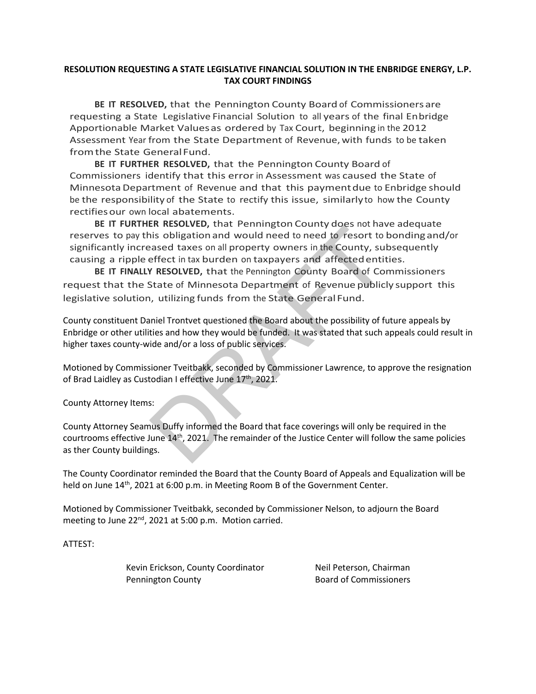#### **RESOLUTION REQUESTING A STATE LEGISLATIVE FINANCIAL SOLUTION IN THE ENBRIDGE ENERGY, L.P. TAX COURT FINDINGS**

**BE IT RESOLVED,** that the Pennington County Board of Commissionersare requesting a State Legislative Financial Solution to all years of the final Enbridge Apportionable Market Valuesas ordered by Tax Court, beginning in the 2012 Assessment Year from the State Department of Revenue, with funds to be taken fromthe State GeneralFund.

**BE IT FURTHER RESOLVED,** that the Pennington County Board of Commissioners identify that this error in Assessment was caused the State of MinnesotaDepartment of Revenue and that this paymentdue to Enbridge should be the responsibility of the State to rectify this issue, similarlyto how the County rectifies our own local abatements.

**BE IT FURTHER RESOLVED,** that Pennington County does not have adequate reserves to pay this obligationand would need to need to resort to bondingand/or significantly increased taxes on all property owners in the County, subsequently causing a ripple effect in tax burden on taxpayers and affectedentities. En massional would need to need to resort the<br>is obligation and would need to need to resort to lose<br>assed taxes on all property owners in the County, sul<br>effect in tax burden on taxpayers and affected entit<br>**r** RESOLVED,

**BE IT FINALLY RESOLVED,** that the Pennington County Board of Commissioners request that the State of Minnesota Department of Revenue publicly support this legislative solution, utilizing funds from the State General Fund.

County constituent Daniel Trontvet questioned the Board about the possibility of future appeals by Enbridge or other utilities and how they would be funded. It was stated that such appeals could result in higher taxes county-wide and/or a loss of public services.

Motioned by Commissioner Tveitbakk, seconded by Commissioner Lawrence, to approve the resignation of Brad Laidley as Custodian I effective June 17<sup>th</sup>, 2021.

County Attorney Items:

County Attorney Seamus Duffy informed the Board that face coverings will only be required in the courtrooms effective June 14th, 2021. The remainder of the Justice Center will follow the same policies as ther County buildings.

The County Coordinator reminded the Board that the County Board of Appeals and Equalization will be held on June 14<sup>th</sup>, 2021 at 6:00 p.m. in Meeting Room B of the Government Center.

Motioned by Commissioner Tveitbakk, seconded by Commissioner Nelson, to adjourn the Board meeting to June 22<sup>nd</sup>, 2021 at 5:00 p.m. Motion carried.

ATTEST:

Kevin Erickson, County Coordinator **Neil Peterson**, Chairman Pennington County **Board of Commissioners**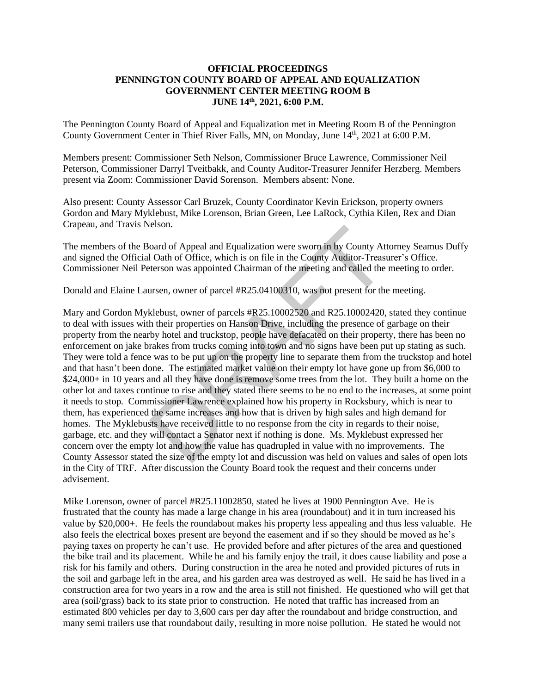#### **OFFICIAL PROCEEDINGS PENNINGTON COUNTY BOARD OF APPEAL AND EQUALIZATION GOVERNMENT CENTER MEETING ROOM B JUNE 14 th, 2021, 6:00 P.M.**

The Pennington County Board of Appeal and Equalization met in Meeting Room B of the Pennington County Government Center in Thief River Falls, MN, on Monday, June 14<sup>th</sup>, 2021 at 6:00 P.M.

Members present: Commissioner Seth Nelson, Commissioner Bruce Lawrence, Commissioner Neil Peterson, Commissioner Darryl Tveitbakk, and County Auditor-Treasurer Jennifer Herzberg. Members present via Zoom: Commissioner David Sorenson. Members absent: None.

Also present: County Assessor Carl Bruzek, County Coordinator Kevin Erickson, property owners Gordon and Mary Myklebust, Mike Lorenson, Brian Green, Lee LaRock, Cythia Kilen, Rex and Dian Crapeau, and Travis Nelson.

The members of the Board of Appeal and Equalization were sworn in by County Attorney Seamus Duffy and signed the Official Oath of Office, which is on file in the County Auditor-Treasurer's Office. Commissioner Neil Peterson was appointed Chairman of the meeting and called the meeting to order.

Donald and Elaine Laursen, owner of parcel #R25.04100310, was not present for the meeting.

Mary and Gordon Myklebust, owner of parcels #R25.10002520 and R25.10002420, stated they continue to deal with issues with their properties on Hanson Drive, including the presence of garbage on their property from the nearby hotel and truckstop, people have defacated on their property, there has been no enforcement on jake brakes from trucks coming into town and no signs have been put up stating as such. They were told a fence was to be put up on the property line to separate them from the truckstop and hotel and that hasn't been done. The estimated market value on their empty lot have gone up from \$6,000 to \$24,000+ in 10 years and all they have done is remove some trees from the lot. They built a home on the other lot and taxes continue to rise and they stated there seems to be no end to the increases, at some point it needs to stop. Commissioner Lawrence explained how his property in Rocksbury, which is near to them, has experienced the same increases and how that is driven by high sales and high demand for homes. The Myklebusts have received little to no response from the city in regards to their noise, garbage, etc. and they will contact a Senator next if nothing is done. Ms. Myklebust expressed her concern over the empty lot and how the value has quadrupled in value with no improvements. The County Assessor stated the size of the empty lot and discussion was held on values and sales of open lots in the City of TRF. After discussion the County Board took the request and their concerns under advisement. oard of Appeal and Equalization were sworn in by County Att<br>
1 Oath of Office, which is on file in the County Auditor-Treast<br>
terson was appointed Chairman of the meeting and called the<br>
ursen, owner of parcel #R25.0410031

Mike Lorenson, owner of parcel #R25.11002850, stated he lives at 1900 Pennington Ave. He is frustrated that the county has made a large change in his area (roundabout) and it in turn increased his value by \$20,000+. He feels the roundabout makes his property less appealing and thus less valuable. He also feels the electrical boxes present are beyond the easement and if so they should be moved as he's paying taxes on property he can't use. He provided before and after pictures of the area and questioned the bike trail and its placement. While he and his family enjoy the trail, it does cause liability and pose a risk for his family and others. During construction in the area he noted and provided pictures of ruts in the soil and garbage left in the area, and his garden area was destroyed as well. He said he has lived in a construction area for two years in a row and the area is still not finished. He questioned who will get that area (soil/grass) back to its state prior to construction. He noted that traffic has increased from an estimated 800 vehicles per day to 3,600 cars per day after the roundabout and bridge construction, and many semi trailers use that roundabout daily, resulting in more noise pollution. He stated he would not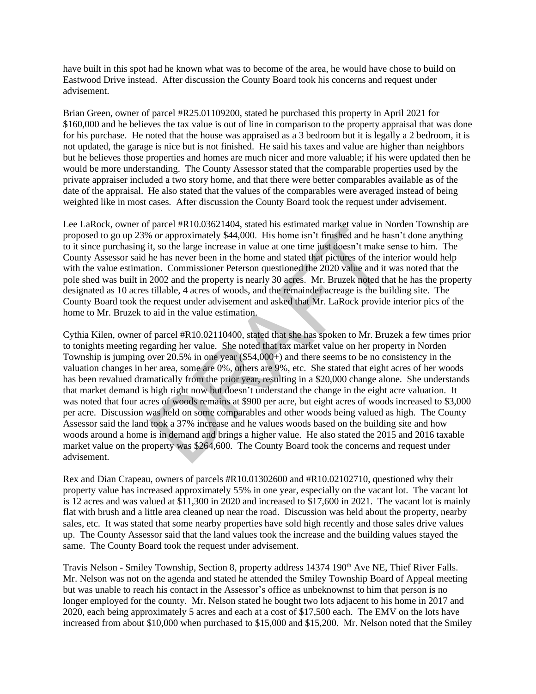have built in this spot had he known what was to become of the area, he would have chose to build on Eastwood Drive instead. After discussion the County Board took his concerns and request under advisement.

Brian Green, owner of parcel #R25.01109200, stated he purchased this property in April 2021 for \$160,000 and he believes the tax value is out of line in comparison to the property appraisal that was done for his purchase. He noted that the house was appraised as a 3 bedroom but it is legally a 2 bedroom, it is not updated, the garage is nice but is not finished. He said his taxes and value are higher than neighbors but he believes those properties and homes are much nicer and more valuable; if his were updated then he would be more understanding. The County Assessor stated that the comparable properties used by the private appraiser included a two story home, and that there were better comparables available as of the date of the appraisal. He also stated that the values of the comparables were averaged instead of being weighted like in most cases. After discussion the County Board took the request under advisement.

Lee LaRock, owner of parcel #R10.03621404, stated his estimated market value in Norden Township are proposed to go up 23% or approximately \$44,000. His home isn't finished and he hasn't done anything to it since purchasing it, so the large increase in value at one time just doesn't make sense to him. The County Assessor said he has never been in the home and stated that pictures of the interior would help with the value estimation. Commissioner Peterson questioned the 2020 value and it was noted that the pole shed was built in 2002 and the property is nearly 30 acres. Mr. Bruzek noted that he has the property designated as 10 acres tillable, 4 acres of woods, and the remainder acreage is the building site. The County Board took the request under advisement and asked that Mr. LaRock provide interior pics of the home to Mr. Bruzek to aid in the value estimation.

Cythia Kilen, owner of parcel #R10.02110400, stated that she has spoken to Mr. Bruzek a few times prior to tonights meeting regarding her value. She noted that tax market value on her property in Norden Township is jumping over 20.5% in one year (\$54,000+) and there seems to be no consistency in the valuation changes in her area, some are 0%, others are 9%, etc. She stated that eight acres of her woods has been revalued dramatically from the prior year, resulting in a \$20,000 change alone. She understands that market demand is high right now but doesn't understand the change in the eight acre valuation. It was noted that four acres of woods remains at \$900 per acre, but eight acres of woods increased to \$3,000 per acre. Discussion was held on some comparables and other woods being valued as high. The County Assessor said the land took a 37% increase and he values woods based on the building site and how woods around a home is in demand and brings a higher value. He also stated the 2015 and 2016 taxable market value on the property was \$264,600. The County Board took the concerns and request under advisement. pacer  $*K10.0524+694$ , stated insterial unaristic unaristic variations, or approximately \$44,000. His home isn't finished and he he has never been in the home and stated that pictures of the in the has never been in the h

Rex and Dian Crapeau, owners of parcels #R10.01302600 and #R10.02102710, questioned why their property value has increased approximately 55% in one year, especially on the vacant lot. The vacant lot is 12 acres and was valued at \$11,300 in 2020 and increased to \$17,600 in 2021. The vacant lot is mainly flat with brush and a little area cleaned up near the road. Discussion was held about the property, nearby sales, etc. It was stated that some nearby properties have sold high recently and those sales drive values up. The County Assessor said that the land values took the increase and the building values stayed the same. The County Board took the request under advisement.

Travis Nelson - Smiley Township, Section 8, property address 14374 190<sup>th</sup> Ave NE, Thief River Falls. Mr. Nelson was not on the agenda and stated he attended the Smiley Township Board of Appeal meeting but was unable to reach his contact in the Assessor's office as unbeknownst to him that person is no longer employed for the county. Mr. Nelson stated he bought two lots adjacent to his home in 2017 and 2020, each being approximately 5 acres and each at a cost of \$17,500 each. The EMV on the lots have increased from about \$10,000 when purchased to \$15,000 and \$15,200. Mr. Nelson noted that the Smiley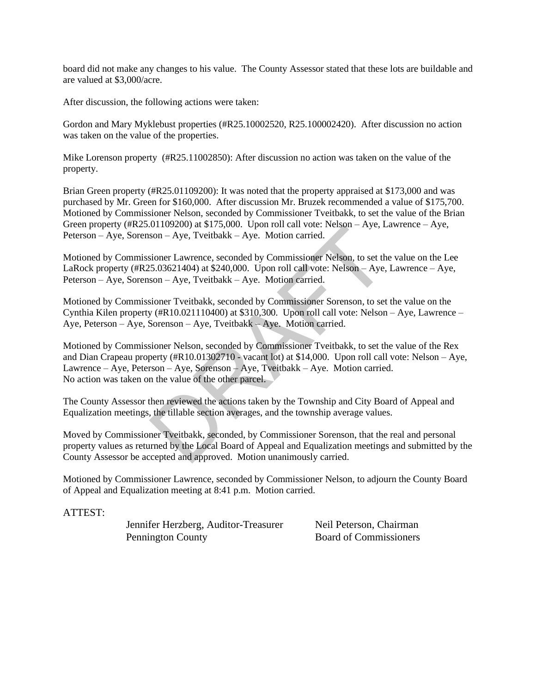board did not make any changes to his value. The County Assessor stated that these lots are buildable and are valued at \$3,000/acre.

After discussion, the following actions were taken:

Gordon and Mary Myklebust properties (#R25.10002520, R25.100002420). After discussion no action was taken on the value of the properties.

Mike Lorenson property (#R25.11002850): After discussion no action was taken on the value of the property.

Brian Green property (#R25.01109200): It was noted that the property appraised at \$173,000 and was purchased by Mr. Green for \$160,000. After discussion Mr. Bruzek recommended a value of \$175,700. Motioned by Commissioner Nelson, seconded by Commissioner Tveitbakk, to set the value of the Brian Green property (#R25.01109200) at \$175,000. Upon roll call vote: Nelson – Aye, Lawrence – Aye, Peterson – Aye, Sorenson – Aye, Tveitbakk – Aye. Motion carried.

Motioned by Commissioner Lawrence, seconded by Commissioner Nelson, to set the value on the Lee LaRock property (#R25.03621404) at \$240,000. Upon roll call vote: Nelson – Aye, Lawrence – Aye, Peterson – Aye, Sorenson – Aye, Tveitbakk – Aye. Motion carried.

Motioned by Commissioner Tveitbakk, seconded by Commissioner Sorenson, to set the value on the Cynthia Kilen property (#R10.021110400) at \$310,300. Upon roll call vote: Nelson – Aye, Lawrence – Aye, Peterson – Aye, Sorenson – Aye, Tveitbakk – Aye. Motion carried.

Motioned by Commissioner Nelson, seconded by Commissioner Tveitbakk, to set the value of the Rex and Dian Crapeau property (#R10.01302710 - vacant lot) at \$14,000. Upon roll call vote: Nelson – Aye, Lawrence – Aye, Peterson – Aye, Sorenson – Aye, Tveitbakk – Aye. Motion carried. No action was taken on the value of the other parcel.  $109200$  at  $3175,000$ . Open for tail vote. Netson – Aye, L<br>
son – Aye, Tveitbakk – Aye. Motion carried.<br>  $2503621404$  at \$240,000. Upon roll call vote: Nelson – Aye, L<br>
sioner Lawrence, seconded by Commissioner Nelson –

The County Assessor then reviewed the actions taken by the Township and City Board of Appeal and Equalization meetings, the tillable section averages, and the township average values.

Moved by Commissioner Tveitbakk, seconded, by Commissioner Sorenson, that the real and personal property values as returned by the Local Board of Appeal and Equalization meetings and submitted by the County Assessor be accepted and approved. Motion unanimously carried.

Motioned by Commissioner Lawrence, seconded by Commissioner Nelson, to adjourn the County Board of Appeal and Equalization meeting at 8:41 p.m. Motion carried.

ATTEST:

Jennifer Herzberg, Auditor-Treasurer Neil Peterson, Chairman Pennington County Board of Commissioners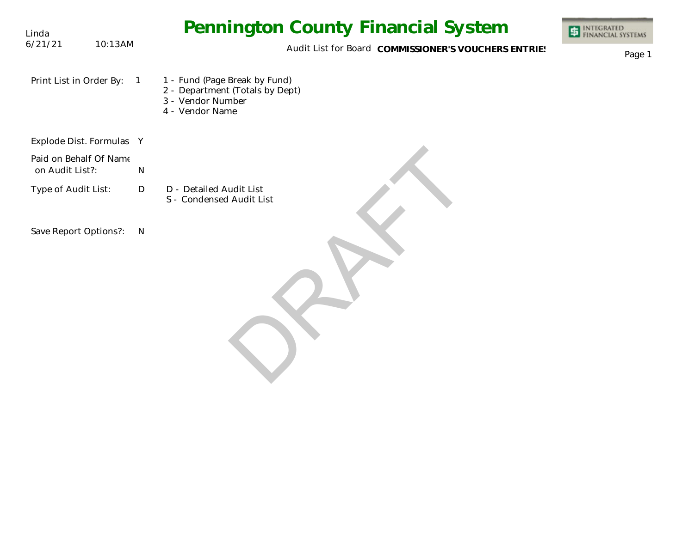| Linda                                     |            | <b>Pennington County Financial System</b>                                                                | <b>ET INTEGRATED</b><br>FINANCIAL SYSTEMS |
|-------------------------------------------|------------|----------------------------------------------------------------------------------------------------------|-------------------------------------------|
| 6/21/21                                   | 10:13AM    | Audit List for Board COMMISSIONER'S VOUCHERS ENTRIES                                                     | Page 1                                    |
| Print List in Order By:                   | $\sqrt{1}$ | 1 - Fund (Page Break by Fund)<br>2 - Department (Totals by Dept)<br>3 - Vendor Number<br>4 - Vendor Name |                                           |
| Explode Dist. Formulas Y                  |            |                                                                                                          |                                           |
| Paid on Behalf Of Name<br>on Audit List?: |            | N                                                                                                        |                                           |
| Type of Audit List:                       |            | $\mathsf{D}$<br>D - Detailed Audit List<br>S - Condensed Audit List                                      |                                           |
| Save Report Options?:                     |            | N                                                                                                        |                                           |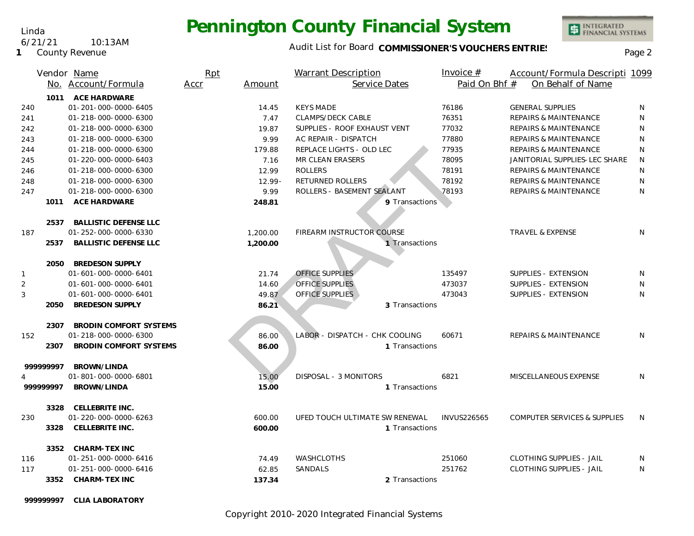### Audit List for Board COMMISSIONER'S VOUCHERS ENTRIES<br>Page 2

INTEGRATED<br>FINANCIAL SYSTEMS

|     |           | Vendor Name                   | Rpt  |           | Warrant Description            | Invoice $#$        | Account/Formula Descripti 1099          |              |
|-----|-----------|-------------------------------|------|-----------|--------------------------------|--------------------|-----------------------------------------|--------------|
|     |           | No. Account/Formula           | Accr | Amount    | Service Dates                  | Paid On Bhf #      | On Behalf of Name                       |              |
|     | 1011      | <b>ACE HARDWARE</b>           |      |           |                                |                    |                                         |              |
| 240 |           | 01-201-000-0000-6405          |      | 14.45     | <b>KEYS MADE</b>               | 76186              | <b>GENERAL SUPPLIES</b>                 | N            |
| 241 |           | 01-218-000-0000-6300          |      | 7.47      | <b>CLAMPS/DECK CABLE</b>       | 76351              | REPAIRS & MAINTENANCE                   | N            |
| 242 |           | 01-218-000-0000-6300          |      | 19.87     | SUPPLIES - ROOF EXHAUST VENT   | 77032              | <b>REPAIRS &amp; MAINTENANCE</b>        | N            |
| 243 |           | 01-218-000-0000-6300          |      | 9.99      | AC REPAIR - DISPATCH           | 77880              | <b>REPAIRS &amp; MAINTENANCE</b>        | N            |
| 244 |           | 01-218-000-0000-6300          |      | 179.88    | REPLACE LIGHTS - OLD LEC       | 77935              | <b>REPAIRS &amp; MAINTENANCE</b>        | $\mathsf{N}$ |
| 245 |           | 01-220-000-0000-6403          |      | 7.16      | MR CLEAN ERASERS               | 78095              | JANITORIAL SUPPLIES-LEC SHARE           | N            |
| 246 |           | 01-218-000-0000-6300          |      | 12.99     | <b>ROLLERS</b>                 | 78191              | <b>REPAIRS &amp; MAINTENANCE</b>        | N            |
| 248 |           | 01-218-000-0000-6300          |      | $12.99 -$ | RETURNED ROLLERS               | 78192              | <b>REPAIRS &amp; MAINTENANCE</b>        | N            |
| 247 |           | 01-218-000-0000-6300          |      | 9.99      | ROLLERS - BASEMENT SEALANT     | 78193              | <b>REPAIRS &amp; MAINTENANCE</b>        | N            |
|     | 1011      | ACE HARDWARE                  |      | 248.81    | 9 Transactions                 |                    |                                         |              |
|     |           |                               |      |           |                                |                    |                                         |              |
|     | 2537      | <b>BALLISTIC DEFENSE LLC</b>  |      |           |                                |                    |                                         |              |
| 187 |           | 01-252-000-0000-6330          |      | 1,200.00  | FIREARM INSTRUCTOR COURSE      |                    | TRAVEL & EXPENSE                        | N            |
|     | 2537      | <b>BALLISTIC DEFENSE LLC</b>  |      | 1,200.00  | 1 Transactions                 |                    |                                         |              |
|     |           |                               |      |           |                                |                    |                                         |              |
|     | 2050      | <b>BREDESON SUPPLY</b>        |      |           |                                |                    |                                         |              |
| 1   |           | 01-601-000-0000-6401          |      | 21.74     | OFFICE SUPPLIES                | 135497             | SUPPLIES - EXTENSION                    | N            |
| 2   |           | 01-601-000-0000-6401          |      | 14.60     | <b>OFFICE SUPPLIES</b>         | 473037             | SUPPLIES - EXTENSION                    | N            |
| 3   |           | 01-601-000-0000-6401          |      | 49.87     | OFFICE SUPPLIES                | 473043             | SUPPLIES - EXTENSION                    | N            |
|     | 2050      | <b>BREDESON SUPPLY</b>        |      | 86.21     | 3 Transactions                 |                    |                                         |              |
|     |           |                               |      |           |                                |                    |                                         |              |
|     | 2307      | <b>BRODIN COMFORT SYSTEMS</b> |      |           |                                |                    |                                         |              |
| 152 |           | 01-218-000-0000-6300          |      | 86.00     | LABOR - DISPATCH - CHK COOLING | 60671              | <b>REPAIRS &amp; MAINTENANCE</b>        | N            |
|     | 2307      | <b>BRODIN COMFORT SYSTEMS</b> |      | 86.00     | 1 Transactions                 |                    |                                         |              |
|     |           |                               |      |           |                                |                    |                                         |              |
|     | 99999997  | BROWN/LINDA                   |      |           |                                |                    |                                         |              |
|     |           | 01-801-000-0000-6801          |      | 15.00     | DISPOSAL - 3 MONITORS          | 6821               | MISCELLANEOUS EXPENSE                   | N            |
|     | 999999997 | BROWN/LINDA                   |      | 15.00     | 1 Transactions                 |                    |                                         |              |
|     |           |                               |      |           |                                |                    |                                         |              |
|     | 3328      | CELLEBRITE INC.               |      |           |                                |                    |                                         |              |
| 230 |           | 01-220-000-0000-6263          |      | 600.00    | UFED TOUCH ULTIMATE SW RENEWAL | <b>INVUS226565</b> | <b>COMPUTER SERVICES &amp; SUPPLIES</b> | N            |
|     | 3328      | CELLEBRITE INC.               |      | 600.00    | 1 Transactions                 |                    |                                         |              |
|     |           |                               |      |           |                                |                    |                                         |              |
|     | 3352      | CHARM-TEX INC                 |      |           |                                |                    |                                         |              |
| 116 |           | 01-251-000-0000-6416          |      | 74.49     | <b>WASHCLOTHS</b>              | 251060             | <b>CLOTHING SUPPLIES - JAIL</b>         | N            |
| 117 |           | 01-251-000-0000-6416          |      | 62.85     | SANDALS                        | 251762             | <b>CLOTHING SUPPLIES - JAIL</b>         | N            |
|     | 3352      | <b>CHARM-TEX INC</b>          |      | 137.34    | 2 Transactions                 |                    |                                         |              |

**999999997 CLIA LABORATORY**

Linda 6/21/21 10:13AM

**1** County Revenue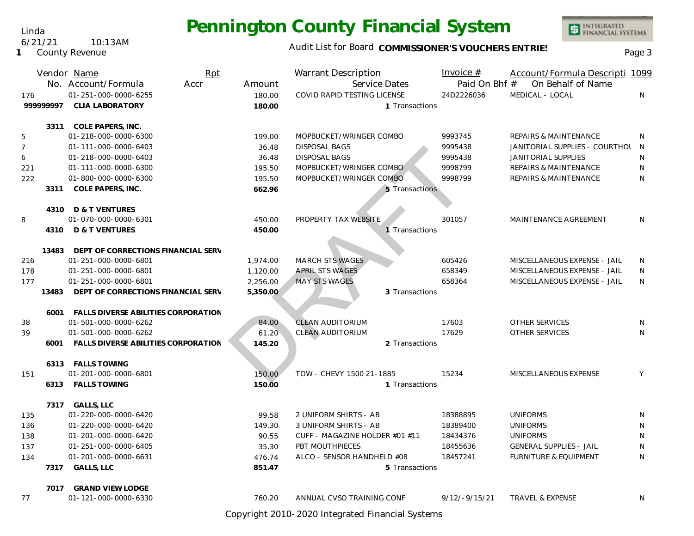Linda

**1** County Revenue

6/21/21 10:13AM

Audit List for Board COMMISSIONER'S VOUCHERS ENTRIES<br>Page 3

INTEGRATED<br>FINANCIAL SYSTEMS

|                |           | Rpt<br>Vendor Name                       |          | Warrant Description            | Invoice $#$     | Account/Formula Descripti 1099   |   |
|----------------|-----------|------------------------------------------|----------|--------------------------------|-----------------|----------------------------------|---|
|                |           | No. Account/Formula<br>Accr              | Amount   | Service Dates                  | Paid On Bhf #   | On Behalf of Name                |   |
| 176            | 999999997 | 01-251-000-0000-6255                     | 180.00   | COVID RAPID TESTING LICENSE    | 24D2226036      | MEDICAL - LOCAL                  | N |
|                |           | <b>CLIA LABORATORY</b>                   | 180.00   | 1 Transactions                 |                 |                                  |   |
|                | 3311      | COLE PAPERS, INC.                        |          |                                |                 |                                  |   |
| 5              |           | 01-218-000-0000-6300                     | 199.00   | MOPBUCKET/WRINGER COMBO        | 9993745         | <b>REPAIRS &amp; MAINTENANCE</b> | N |
| $\overline{7}$ |           | 01-111-000-0000-6403                     | 36.48    | <b>DISPOSAL BAGS</b>           | 9995438         | JANITORIAL SUPPLIES - COURTHOL N |   |
| 6              |           | 01-218-000-0000-6403                     | 36.48    | <b>DISPOSAL BAGS</b>           | 9995438         | <b>JANITORIAL SUPPLIES</b>       | N |
| 221            |           | 01-111-000-0000-6300                     | 195.50   | MOPBUCKET/WRINGER COMBO        | 9998799         | <b>REPAIRS &amp; MAINTENANCE</b> | N |
| 222            |           | 01-800-000-0000-6300                     | 195.50   | MOPBUCKET/WRINGER COMBO        | 9998799         | REPAIRS & MAINTENANCE            | N |
|                | 3311      | COLE PAPERS, INC.                        | 662.96   | 5 Transactions                 |                 |                                  |   |
|                |           | 4310 D & T VENTURES                      |          |                                |                 |                                  |   |
| 8              |           | 01-070-000-0000-6301                     | 450.00   | PROPERTY TAX WEBSITE           | 301057          | MAINTENANCE AGREEMENT            | N |
|                |           | 4310 D & T VENTURES                      | 450.00   | 1 Transactions                 |                 |                                  |   |
|                |           |                                          |          |                                |                 |                                  |   |
|                |           | 13483 DEPT OF CORRECTIONS FINANCIAL SERV |          |                                |                 |                                  |   |
| 216            |           | 01-251-000-0000-6801                     | 1,974.00 | <b>MARCH STS WAGES</b>         | 605426          | MISCELLANEOUS EXPENSE - JAIL     | N |
| 178            |           | 01-251-000-0000-6801                     | 1,120.00 | <b>APRIL STS WAGES</b>         | 658349          | MISCELLANEOUS EXPENSE - JAIL     | N |
| 177            |           | 01-251-000-0000-6801                     | 2,256.00 | <b>MAY STS WAGES</b>           | 658364          | MISCELLANEOUS EXPENSE - JAIL     | N |
|                | 13483     | DEPT OF CORRECTIONS FINANCIAL SERV       | 5,350.00 | 3 Transactions                 |                 |                                  |   |
|                | 6001      | FALLS DIVERSE ABILITIES CORPORATION      |          |                                |                 |                                  |   |
| 38             |           | 01-501-000-0000-6262                     | 84.00    | CLEAN AUDITORIUM               | 17603           | OTHER SERVICES                   | N |
| 39             |           | 01-501-000-0000-6262                     | 61.20    | <b>CLEAN AUDITORIUM</b>        | 17629           | <b>OTHER SERVICES</b>            | N |
|                | 6001      | FALLS DIVERSE ABILITIES CORPORATION      | 145.20   | 2 Transactions                 |                 |                                  |   |
|                |           |                                          |          |                                |                 |                                  |   |
|                |           | 6313 FALLS TOWING                        |          |                                |                 |                                  |   |
| 151            |           | 01-201-000-0000-6801                     | 150.00   | TOW - CHEVY 1500 21-1885       | 15234           | MISCELLANEOUS EXPENSE            | Y |
|                |           | 6313 FALLS TOWING                        | 150.00   | 1 Transactions                 |                 |                                  |   |
|                |           | 7317 GALLS, LLC                          |          |                                |                 |                                  |   |
| 135            |           | 01-220-000-0000-6420                     | 99.58    | 2 UNIFORM SHIRTS - AB          | 18388895        | <b>UNIFORMS</b>                  | N |
| 136            |           | 01-220-000-0000-6420                     | 149.30   | 3 UNIFORM SHIRTS - AB          | 18389400        | <b>UNIFORMS</b>                  | N |
| 138            |           | 01-201-000-0000-6420                     | 90.55    | CUFF - MAGAZINE HOLDER #01 #11 | 18434376        | <b>UNIFORMS</b>                  | N |
| 137            |           | 01-251-000-0000-6405                     | 35.30    | PBT MOUTHPIECES                | 18455636        | <b>GENERAL SUPPLIES - JAIL</b>   | N |
| 134            |           | 01-201-000-0000-6631                     | 476.74   | ALCO - SENSOR HANDHELD #08     | 18457241        | <b>FURNITURE &amp; EQUIPMENT</b> | N |
|                | 7317      | <b>GALLS, LLC</b>                        | 851.47   | 5 Transactions                 |                 |                                  |   |
|                | 7017      | <b>GRAND VIEW LODGE</b>                  |          |                                |                 |                                  |   |
| 77             |           | 01-121-000-0000-6330                     | 760.20   | ANNUAL CVSO TRAINING CONF      | $9/12/-9/15/21$ | <b>TRAVEL &amp; EXPENSE</b>      | N |
|                |           |                                          |          |                                |                 |                                  |   |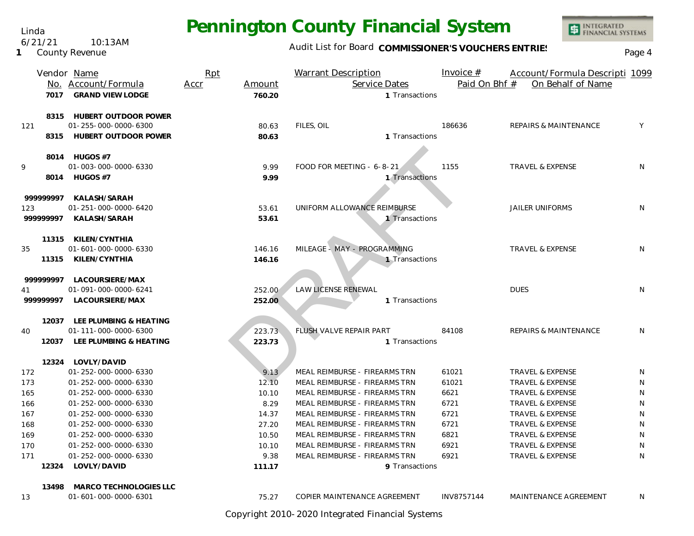Linda 6/21/21 10:13AM

**1** County Revenue

### Audit List for Board COMMISSIONER'S VOUCHERS ENTRIES<br>Page 4

INTEGRATED<br>FINANCIAL SYSTEMS

|           |       | Vendor Name<br>No. Account/Formula<br>7017 GRAND VIEW LODGE | Rpt<br>Accr<br>Amount<br>760.20 | <b>Warrant Description</b><br>Service Dates | Invoice $#$<br>Paid On Bhf #<br>1 Transactions | Account/Formula Descripti 1099<br>On Behalf of Name |    |
|-----------|-------|-------------------------------------------------------------|---------------------------------|---------------------------------------------|------------------------------------------------|-----------------------------------------------------|----|
|           |       | 8315 HUBERT OUTDOOR POWER                                   |                                 |                                             |                                                |                                                     |    |
| 121       |       | 01-255-000-0000-6300                                        | 80.63                           | FILES, OIL                                  | 186636                                         | <b>REPAIRS &amp; MAINTENANCE</b>                    | Y  |
|           | 8315  | <b>HUBERT OUTDOOR POWER</b>                                 | 80.63                           |                                             | 1 Transactions                                 |                                                     |    |
|           |       | 8014 HUGOS #7                                               |                                 |                                             |                                                |                                                     |    |
| 9         |       | 01-003-000-0000-6330                                        | 9.99                            | FOOD FOR MEETING - 6-8-21                   | 1155                                           | <b>TRAVEL &amp; EXPENSE</b>                         | N  |
|           | 8014  | HUGOS #7                                                    | 9.99                            |                                             | 1 Transactions                                 |                                                     |    |
| 999999997 |       | KALASH/SARAH                                                |                                 |                                             |                                                |                                                     |    |
| 123       |       | 01-251-000-0000-6420                                        | 53.61                           | UNIFORM ALLOWANCE REIMBURSE                 |                                                | <b>JAILER UNIFORMS</b>                              | N  |
| 99999997  |       | KALASH/SARAH                                                | 53.61                           |                                             | 1 Transactions                                 |                                                     |    |
|           | 11315 | KILEN/CYNTHIA                                               |                                 |                                             |                                                |                                                     |    |
| 35        |       | 01-601-000-0000-6330                                        | 146.16                          | MILEAGE - MAY - PROGRAMMING                 |                                                | TRAVEL & EXPENSE                                    | N  |
|           | 11315 | KILEN/CYNTHIA                                               | 146.16                          |                                             | 1 Transactions                                 |                                                     |    |
| 999999997 |       | LACOURSIERE/MAX                                             |                                 |                                             |                                                |                                                     |    |
| 41        |       | 01-091-000-0000-6241                                        | 252.00                          | <b>LAW LICENSE RENEWAL</b>                  |                                                | <b>DUES</b>                                         | N  |
| 99999997  |       | LACOURSIERE/MAX                                             | 252.00                          |                                             | 1 Transactions                                 |                                                     |    |
|           |       | 12037 LEE PLUMBING & HEATING                                |                                 |                                             |                                                |                                                     |    |
| 40        |       | 01-111-000-0000-6300                                        | 223.73                          | FLUSH VALVE REPAIR PART                     | 84108                                          | <b>REPAIRS &amp; MAINTENANCE</b>                    | N  |
|           | 12037 | LEE PLUMBING & HEATING                                      | 223.73                          |                                             | 1 Transactions                                 |                                                     |    |
|           |       | 12324 LOVLY/DAVID                                           |                                 |                                             |                                                |                                                     |    |
| 172       |       | 01-252-000-0000-6330                                        | 9.13                            | MEAL REIMBURSE - FIREARMS TRN               | 61021                                          | <b>TRAVEL &amp; EXPENSE</b>                         | N  |
| 173       |       | 01-252-000-0000-6330                                        | 12.10                           | MEAL REIMBURSE - FIREARMS TRN               | 61021                                          | <b>TRAVEL &amp; EXPENSE</b>                         | N  |
| 165       |       | 01-252-000-0000-6330                                        | 10.10                           | MEAL REIMBURSE - FIREARMS TRN               | 6621                                           | TRAVEL & EXPENSE                                    | N  |
| 166       |       | 01-252-000-0000-6330                                        | 8.29                            | MEAL REIMBURSE - FIREARMS TRN               | 6721                                           | TRAVEL & EXPENSE                                    | N  |
| 167       |       | 01-252-000-0000-6330                                        | 14.37                           | MEAL REIMBURSE - FIREARMS TRN               | 6721                                           | TRAVEL & EXPENSE                                    | N  |
| 168       |       | 01-252-000-0000-6330                                        | 27.20                           | MEAL REIMBURSE - FIREARMS TRN               | 6721                                           | TRAVEL & EXPENSE                                    | N  |
| 169       |       | 01-252-000-0000-6330                                        | 10.50                           | MEAL REIMBURSE - FIREARMS TRN               | 6821                                           | TRAVEL & EXPENSE                                    | N  |
| 170       |       | 01-252-000-0000-6330                                        | 10.10                           | MEAL REIMBURSE - FIREARMS TRN               | 6921                                           | <b>TRAVEL &amp; EXPENSE</b>                         | N  |
| 171       |       | 01-252-000-0000-6330                                        | 9.38                            | MEAL REIMBURSE - FIREARMS TRN               | 6921                                           | <b>TRAVEL &amp; EXPENSE</b>                         | N  |
|           | 12324 | LOVLY/DAVID                                                 | 111.17                          |                                             | 9 Transactions                                 |                                                     |    |
|           | 13498 | MARCO TECHNOLOGIES LLC                                      |                                 |                                             |                                                |                                                     |    |
| 13        |       | 01-601-000-0000-6301                                        | 75.27                           | COPIER MAINTENANCE AGREEMENT                | INV8757144                                     | <b>MAINTENANCE AGREEMENT</b>                        | N. |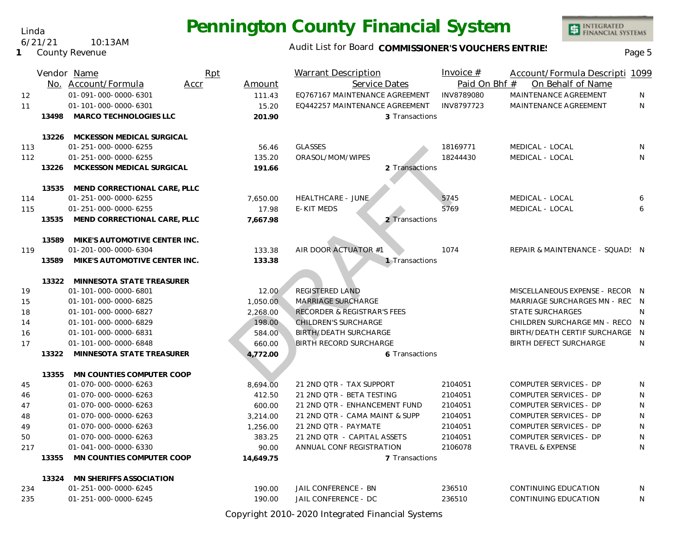Linda 6/21/21 10:13AM

**1** County Revenue

### Audit List for Board COMMISSIONER'S VOUCHERS ENTRIES<br>Page 5

INTEGRATED<br>FINANCIAL SYSTEMS

|     |       | Vendor Name                   | Rpt  |           | <b>Warrant Description</b>             | Invoice $#$   | Account/Formula Descripti 1099  |   |
|-----|-------|-------------------------------|------|-----------|----------------------------------------|---------------|---------------------------------|---|
|     |       | No. Account/Formula           | Accr | Amount    | Service Dates                          | Paid On Bhf # | On Behalf of Name               |   |
| 12  |       | 01-091-000-0000-6301          |      | 111.43    | EQ767167 MAINTENANCE AGREEMENT         | INV8789080    | MAINTENANCE AGREEMENT           | N |
| 11  |       | 01-101-000-0000-6301          |      | 15.20     | EQ442257 MAINTENANCE AGREEMENT         | INV8797723    | MAINTENANCE AGREEMENT           | N |
|     | 13498 | MARCO TECHNOLOGIES LLC        |      | 201.90    | 3 Transactions                         |               |                                 |   |
|     |       |                               |      |           |                                        |               |                                 |   |
|     | 13226 | MCKESSON MEDICAL SURGICAL     |      |           |                                        |               |                                 |   |
| 113 |       | 01-251-000-0000-6255          |      | 56.46     | <b>GLASSES</b>                         | 18169771      | MEDICAL - LOCAL                 | N |
| 112 |       | 01-251-000-0000-6255          |      | 135.20    | ORASOL/MOM/WIPES                       | 18244430      | MEDICAL - LOCAL                 | N |
|     | 13226 | MCKESSON MEDICAL SURGICAL     |      | 191.66    | 2 Transactions                         |               |                                 |   |
|     |       |                               |      |           |                                        |               |                                 |   |
|     | 13535 | MEND CORRECTIONAL CARE, PLLC  |      |           |                                        |               |                                 |   |
| 114 |       | 01-251-000-0000-6255          |      | 7,650.00  | <b>HEALTHCARE - JUNE</b>               | 5745          | MEDICAL - LOCAL                 | 6 |
| 115 |       | 01-251-000-0000-6255          |      | 17.98     | E-KIT MEDS                             | 5769          | MEDICAL - LOCAL                 | 6 |
|     | 13535 | MEND CORRECTIONAL CARE, PLLC  |      | 7,667.98  | 2 Transactions                         |               |                                 |   |
|     | 13589 | MIKE'S AUTOMOTIVE CENTER INC. |      |           |                                        |               |                                 |   |
| 119 |       | 01-201-000-0000-6304          |      | 133.38    | AIR DOOR ACTUATOR #1                   | 1074          | REPAIR & MAINTENANCE - SQUAD! N |   |
|     | 13589 | MIKE'S AUTOMOTIVE CENTER INC. |      | 133.38    | 1 Transactions                         |               |                                 |   |
|     |       |                               |      |           |                                        |               |                                 |   |
|     | 13322 | MINNESOTA STATE TREASURER     |      |           |                                        |               |                                 |   |
| 19  |       | 01-101-000-0000-6801          |      | 12.00     | <b>REGISTERED LAND</b>                 |               | MISCELLANEOUS EXPENSE - RECOR N |   |
| 15  |       | 01-101-000-0000-6825          |      | 1,050.00  | MARRIAGE SURCHARGE                     |               | MARRIAGE SURCHARGES MN - REC N  |   |
| 18  |       | 01-101-000-0000-6827          |      | 2,268.00  | <b>RECORDER &amp; REGISTRAR'S FEES</b> |               | <b>STATE SURCHARGES</b>         | N |
| 14  |       | 01-101-000-0000-6829          |      | 198.00    | CHILDREN'S SURCHARGE                   |               | CHILDREN SURCHARGE MN - RECO N  |   |
| 16  |       | 01-101-000-0000-6831          |      | 584.00    | <b>BIRTH/DEATH SURCHARGE</b>           |               | BIRTH/DEATH CERTIF SURCHARGE    | N |
| 17  |       | 01-101-000-0000-6848          |      | 660.00    | <b>BIRTH RECORD SURCHARGE</b>          |               | <b>BIRTH DEFECT SURCHARGE</b>   | N |
|     | 13322 | MINNESOTA STATE TREASURER     |      | 4,772.00  | 6 Transactions                         |               |                                 |   |
|     |       |                               |      |           |                                        |               |                                 |   |
|     | 13355 | MN COUNTIES COMPUTER COOP     |      |           |                                        |               |                                 |   |
| 45  |       | 01-070-000-0000-6263          |      | 8,694.00  | 21 2ND QTR - TAX SUPPORT               | 2104051       | COMPUTER SERVICES - DP          | N |
| 46  |       | 01-070-000-0000-6263          |      | 412.50    | 21 2ND QTR - BETA TESTING              | 2104051       | <b>COMPUTER SERVICES - DP</b>   | N |
| 47  |       | 01-070-000-0000-6263          |      | 600.00    | 21 2ND QTR - ENHANCEMENT FUND          | 2104051       | COMPUTER SERVICES - DP          | N |
| 48  |       | 01-070-000-0000-6263          |      | 3,214.00  | 21 2ND QTR - CAMA MAINT & SUPP         | 2104051       | <b>COMPUTER SERVICES - DP</b>   | N |
| 49  |       | 01-070-000-0000-6263          |      | 1,256.00  | 21 2ND QTR - PAYMATE                   | 2104051       | COMPUTER SERVICES - DP          | N |
| 50  |       | 01-070-000-0000-6263          |      | 383.25    | 21 2ND QTR - CAPITAL ASSETS            | 2104051       | <b>COMPUTER SERVICES - DP</b>   | N |
| 217 |       | 01-041-000-0000-6330          |      | 90.00     | ANNUAL CONF REGISTRATION               | 2106078       | TRAVEL & EXPENSE                | N |
|     | 13355 | MN COUNTIES COMPUTER COOP     |      | 14,649.75 | 7 Transactions                         |               |                                 |   |
|     | 13324 | MN SHERIFFS ASSOCIATION       |      |           |                                        |               |                                 |   |
| 234 |       | 01-251-000-0000-6245          |      | 190.00    | JAIL CONFERENCE - BN                   | 236510        | CONTINUING EDUCATION            | N |
| 235 |       | 01-251-000-0000-6245          |      | 190.00    | JAIL CONFERENCE - DC                   | 236510        | CONTINUING EDUCATION            | N |
|     |       |                               |      |           |                                        |               |                                 |   |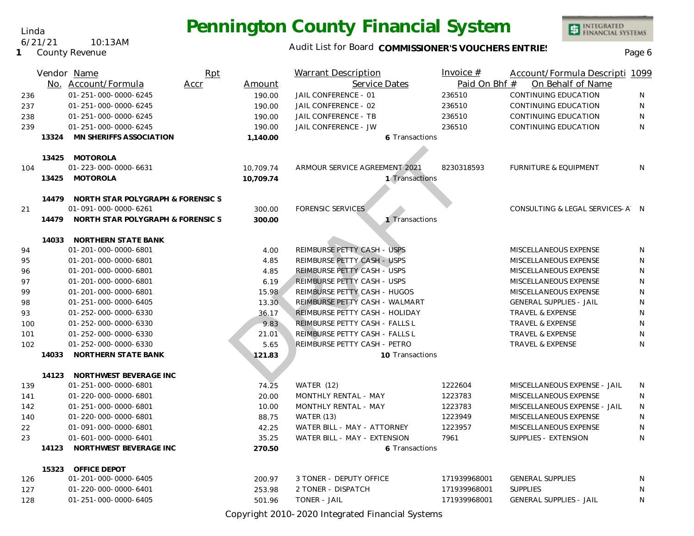### Audit List for Board COMMISSIONER'S VOUCHERS ENTRIES<br>Page 6

|     |       | Vendor Name                                               | Rpt  |           | <b>Warrant Description</b>                 | Invoice $#$   | Account/Formula Descripti 1099   |   |
|-----|-------|-----------------------------------------------------------|------|-----------|--------------------------------------------|---------------|----------------------------------|---|
|     |       | No. Account/Formula                                       | Accr | Amount    | Service Dates                              | Paid On Bhf # | On Behalf of Name                |   |
| 236 |       | 01-251-000-0000-6245                                      |      | 190.00    | JAIL CONFERENCE - 01                       | 236510        | CONTINUING EDUCATION             | N |
| 237 |       | 01-251-000-0000-6245                                      |      | 190.00    | JAIL CONFERENCE - 02                       | 236510        | CONTINUING EDUCATION             | N |
| 238 |       | 01-251-000-0000-6245                                      |      | 190.00    | JAIL CONFERENCE - TB                       | 236510        | CONTINUING EDUCATION             | N |
| 239 |       | 01-251-000-0000-6245                                      |      | 190.00    | JAIL CONFERENCE - JW                       | 236510        | CONTINUING EDUCATION             | N |
|     | 13324 | MN SHERIFFS ASSOCIATION                                   |      | 1,140.00  | 6 Transactions                             |               |                                  |   |
|     |       |                                                           |      |           |                                            |               |                                  |   |
|     |       | 13425 MOTOROLA                                            |      |           |                                            |               |                                  |   |
| 104 |       | 01-223-000-0000-6631                                      |      | 10,709.74 | ARMOUR SERVICE AGREEMENT 2021              | 8230318593    | <b>FURNITURE &amp; EQUIPMENT</b> | N |
|     | 13425 | MOTOROLA                                                  |      | 10,709.74 | 1 Transactions                             |               |                                  |   |
|     |       |                                                           |      |           |                                            |               |                                  |   |
|     | 14479 | NORTH STAR POLYGRAPH & FORENSIC S                         |      |           |                                            |               |                                  |   |
| 21  | 14479 | 01-091-000-0000-6261<br>NORTH STAR POLYGRAPH & FORENSIC S |      | 300.00    | <b>FORENSIC SERVICES</b><br>1 Transactions |               | CONSULTING & LEGAL SERVICES-A N  |   |
|     |       |                                                           |      | 300.00    |                                            |               |                                  |   |
|     | 14033 | NORTHERN STATE BANK                                       |      |           |                                            |               |                                  |   |
| 94  |       | 01-201-000-0000-6801                                      |      | 4.00      | REIMBURSE PETTY CASH - USPS                |               | MISCELLANEOUS EXPENSE            | N |
| 95  |       | 01-201-000-0000-6801                                      |      | 4.85      | REIMBURSE PETTY CASH - USPS                |               | MISCELLANEOUS EXPENSE            | N |
| 96  |       | 01-201-000-0000-6801                                      |      | 4.85      | REIMBURSE PETTY CASH - USPS                |               | MISCELLANEOUS EXPENSE            | N |
| 97  |       | 01-201-000-0000-6801                                      |      | 6.19      | REIMBURSE PETTY CASH - USPS                |               | MISCELLANEOUS EXPENSE            | N |
| 99  |       | 01-201-000-0000-6801                                      |      | 15.98     | REIMBURSE PETTY CASH - HUGOS               |               | MISCELLANEOUS EXPENSE            | N |
| 98  |       | 01-251-000-0000-6405                                      |      | 13.30     | REIMBURSE PETTY CASH - WALMART             |               | <b>GENERAL SUPPLIES - JAIL</b>   | N |
| 93  |       | 01-252-000-0000-6330                                      |      | 36.17     | REIMBURSE PETTY CASH - HOLIDAY             |               | <b>TRAVEL &amp; EXPENSE</b>      | N |
| 100 |       | 01-252-000-0000-6330                                      |      | 9.83      | REIMBURSE PETTY CASH - FALLS L             |               | TRAVEL & EXPENSE                 | N |
| 101 |       | 01-252-000-0000-6330                                      |      | 21.01     | REIMBURSE PETTY CASH - FALLS L             |               | TRAVEL & EXPENSE                 | N |
| 102 |       | 01-252-000-0000-6330                                      |      | 5.65      | REIMBURSE PETTY CASH - PETRO               |               | TRAVEL & EXPENSE                 | N |
|     | 14033 | NORTHERN STATE BANK                                       |      | 121.83    | 10 Transactions                            |               |                                  |   |
|     |       |                                                           |      |           |                                            |               |                                  |   |
|     | 14123 | NORTHWEST BEVERAGE INC                                    |      |           |                                            |               |                                  |   |
| 139 |       | 01-251-000-0000-6801                                      |      | 74.25     | WATER (12)                                 | 1222604       | MISCELLANEOUS EXPENSE - JAIL     | N |
| 141 |       | 01-220-000-0000-6801                                      |      | 20.00     | MONTHLY RENTAL - MAY                       | 1223783       | MISCELLANEOUS EXPENSE            | N |
| 142 |       | 01-251-000-0000-6801                                      |      | 10.00     | MONTHLY RENTAL - MAY                       | 1223783       | MISCELLANEOUS EXPENSE - JAIL     | N |
| 140 |       | 01-220-000-0000-6801                                      |      | 88.75     | <b>WATER (13)</b>                          | 1223949       | MISCELLANEOUS EXPENSE            | N |
| 22  |       | 01-091-000-0000-6801                                      |      | 42.25     | WATER BILL - MAY - ATTORNEY                | 1223957       | MISCELLANEOUS EXPENSE            | N |
| 23  |       | 01-601-000-0000-6401                                      |      | 35.25     | WATER BILL - MAY - EXTENSION               | 7961          | SUPPLIES - EXTENSION             | N |
|     | 14123 | NORTHWEST BEVERAGE INC                                    |      | 270.50    | 6 Transactions                             |               |                                  |   |
|     | 15323 | OFFICE DEPOT                                              |      |           |                                            |               |                                  |   |
| 126 |       | 01-201-000-0000-6405                                      |      | 200.97    | 3 TONER - DEPUTY OFFICE                    | 171939968001  | <b>GENERAL SUPPLIES</b>          | N |
| 127 |       | 01-220-000-0000-6401                                      |      | 253.98    | 2 TONER - DISPATCH                         | 171939968001  | <b>SUPPLIES</b>                  | N |
| 128 |       | 01-251-000-0000-6405                                      |      | 501.96    | TONER - JAIL                               | 171939968001  | <b>GENERAL SUPPLIES - JAIL</b>   | N |
|     |       |                                                           |      |           | .                                          |               |                                  |   |

Copyright 2010-2020 Integrated Financial Systems

Linda

#### **1** County Revenue 6/21/21 10:13AM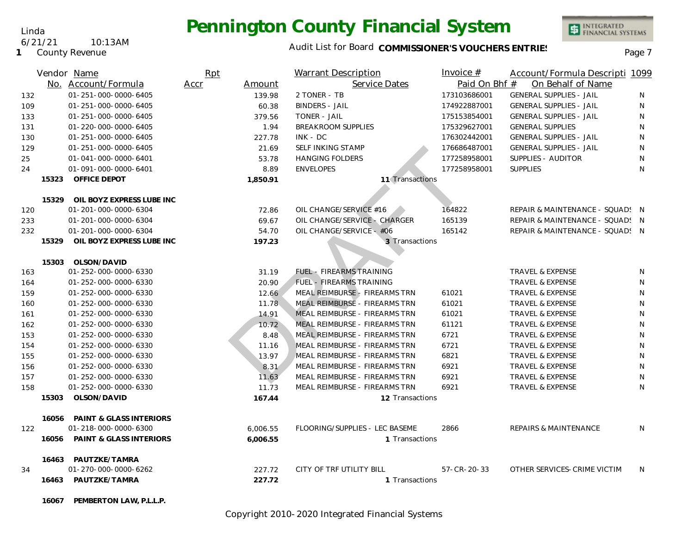#### Audit List for Board COMMISSIONER'S VOUCHERS ENTRIES<br>Page 7

|     |       | Vendor Name                        | Rpt            | <b>Warrant Description</b>     | Invoice $#$         | Account/Formula Descripti 1099   |              |
|-----|-------|------------------------------------|----------------|--------------------------------|---------------------|----------------------------------|--------------|
|     |       | No. Account/Formula                | Accr<br>Amount | Service Dates                  | Paid On Bhf #       | On Behalf of Name                |              |
| 132 |       | 01-251-000-0000-6405               | 139.98         | 2 TONER - TB                   | 173103686001        | <b>GENERAL SUPPLIES - JAIL</b>   | N            |
| 109 |       | 01-251-000-0000-6405               | 60.38          | <b>BINDERS - JAIL</b>          | 174922887001        | <b>GENERAL SUPPLIES - JAIL</b>   | N            |
| 133 |       | 01-251-000-0000-6405               | 379.56         | TONER - JAIL                   | 175153854001        | <b>GENERAL SUPPLIES - JAIL</b>   | $\mathsf{N}$ |
| 131 |       | 01-220-000-0000-6405               | 1.94           | <b>BREAKROOM SUPPLIES</b>      | 175329627001        | <b>GENERAL SUPPLIES</b>          | $\mathsf{N}$ |
| 130 |       | 01-251-000-0000-6405               | 227.78         | $INK - DC$                     | 176302442001        | <b>GENERAL SUPPLIES - JAIL</b>   | $\mathsf{N}$ |
| 129 |       | 01-251-000-0000-6405               | 21.69          | SELF INKING STAMP              | 176686487001        | <b>GENERAL SUPPLIES - JAIL</b>   | N            |
| 25  |       | 01-041-000-0000-6401               | 53.78          | <b>HANGING FOLDERS</b>         | 177258958001        | SUPPLIES - AUDITOR               | N            |
| 24  |       | 01-091-000-0000-6401               | 8.89           | <b>ENVELOPES</b>               | 177258958001        | <b>SUPPLIES</b>                  | N            |
|     | 15323 | OFFICE DEPOT                       | 1,850.91       | 11 Transactions                |                     |                                  |              |
|     |       |                                    |                |                                |                     |                                  |              |
|     | 15329 | OIL BOYZ EXPRESS LUBE INC          |                |                                |                     |                                  |              |
| 120 |       | 01-201-000-0000-6304               | 72.86          | OIL CHANGE/SERVICE #16         | 164822              | REPAIR & MAINTENANCE - SQUAD: N  |              |
| 233 |       | 01-201-000-0000-6304               | 69.67          | OIL CHANGE/SERVICE - CHARGER   | 165139              | REPAIR & MAINTENANCE - SQUAD! N  |              |
| 232 |       | 01-201-000-0000-6304               | 54.70          | OIL CHANGE/SERVICE - #06       | 165142              | REPAIR & MAINTENANCE - SQUAD! N  |              |
|     | 15329 | OIL BOYZ EXPRESS LUBE INC          | 197.23         | 3 Transactions                 |                     |                                  |              |
|     | 15303 | OLSON/DAVID                        |                |                                |                     |                                  |              |
| 163 |       | 01-252-000-0000-6330               | 31.19          | FUEL - FIREARMS TRAINING       |                     | <b>TRAVEL &amp; EXPENSE</b>      | N            |
| 164 |       | 01-252-000-0000-6330               | 20.90          | FUEL - FIREARMS TRAINING       |                     | <b>TRAVEL &amp; EXPENSE</b>      | N            |
| 159 |       | 01-252-000-0000-6330               | 12.66          | MEAL REIMBURSE - FIREARMS TRN  | 61021               | TRAVEL & EXPENSE                 | N            |
| 160 |       | 01-252-000-0000-6330               | 11.78          | MEAL REIMBURSE - FIREARMS TRN  | 61021               | TRAVEL & EXPENSE                 | N            |
| 161 |       | 01-252-000-0000-6330               | 14.91          | MEAL REIMBURSE - FIREARMS TRN  | 61021               | TRAVEL & EXPENSE                 | $\mathsf{N}$ |
| 162 |       | 01-252-000-0000-6330               | 10.72          | MEAL REIMBURSE - FIREARMS TRN  | 61121               | TRAVEL & EXPENSE                 | N            |
| 153 |       | 01-252-000-0000-6330               | 8.48           | MEAL REIMBURSE - FIREARMS TRN  | 6721                | <b>TRAVEL &amp; EXPENSE</b>      | N            |
| 154 |       | 01-252-000-0000-6330               | 11.16          | MEAL REIMBURSE - FIREARMS TRN  | 6721                | TRAVEL & EXPENSE                 | N            |
| 155 |       | 01-252-000-0000-6330               | 13.97          | MEAL REIMBURSE - FIREARMS TRN  | 6821                | TRAVEL & EXPENSE                 | N            |
| 156 |       | 01-252-000-0000-6330               | 8.31           | MEAL REIMBURSE - FIREARMS TRN  | 6921                | TRAVEL & EXPENSE                 | N            |
| 157 |       | 01-252-000-0000-6330               | 11.63          | MEAL REIMBURSE - FIREARMS TRN  | 6921                | <b>TRAVEL &amp; EXPENSE</b>      | N            |
| 158 |       | 01-252-000-0000-6330               | 11.73          | MEAL REIMBURSE - FIREARMS TRN  | 6921                | TRAVEL & EXPENSE                 | N            |
|     | 15303 | OLSON/DAVID                        | 167.44         | 12 Transactions                |                     |                                  |              |
|     | 16056 | <b>PAINT &amp; GLASS INTERIORS</b> |                |                                |                     |                                  |              |
| 122 |       | 01-218-000-0000-6300               | 6,006.55       | FLOORING/SUPPLIES - LEC BASEME | 2866                | <b>REPAIRS &amp; MAINTENANCE</b> | N            |
|     | 16056 | <b>PAINT &amp; GLASS INTERIORS</b> | 6,006.55       | 1 Transactions                 |                     |                                  |              |
|     |       |                                    |                |                                |                     |                                  |              |
|     |       | 16463 PAUTZKE/TAMRA                |                |                                |                     |                                  |              |
| 34  |       | 01-270-000-0000-6262               | 227.72         | CITY OF TRF UTILITY BILL       | $57 - CR - 20 - 33$ | OTHER SERVICES-CRIME VICTIM      | N            |
|     | 16463 | PAUTZKE/TAMRA                      | 227.72         | 1 Transactions                 |                     |                                  |              |
|     | 16067 | PEMBERTON LAW, P.L.L.P.            |                |                                |                     |                                  |              |

Copyright 2010-2020 Integrated Financial Systems

Linda

#### 6/21/21 10:13AM

**1** County Revenue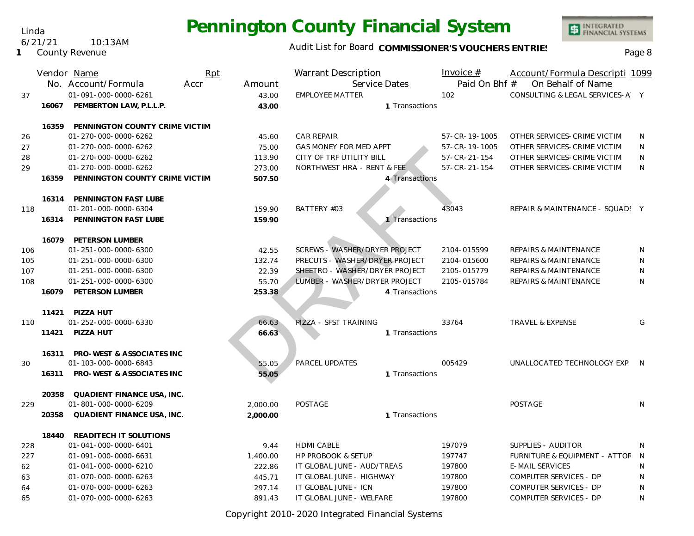Linda 6/21/21 10:13AM

**1** County Revenue

### Audit List for Board COMMISSIONER'S VOUCHERS ENTRIES<br>Page 8

|     |       | Vendor Name<br>No. Account/Formula | Rpt<br>Accr | Amount   | <b>Warrant Description</b><br>Service Dates |                | Invoice $#$<br>Paid On Bhf # | Account/Formula Descripti 1099<br>On Behalf of Name |   |
|-----|-------|------------------------------------|-------------|----------|---------------------------------------------|----------------|------------------------------|-----------------------------------------------------|---|
| 37  |       | 01-091-000-0000-6261               |             | 43.00    | <b>EMPLOYEE MATTER</b>                      |                | 102                          | CONSULTING & LEGAL SERVICES-A Y                     |   |
|     | 16067 | PEMBERTON LAW, P.L.L.P.            |             | 43.00    |                                             | 1 Transactions |                              |                                                     |   |
|     |       |                                    |             |          |                                             |                |                              |                                                     |   |
|     | 16359 | PENNINGTON COUNTY CRIME VICTIM     |             |          |                                             |                |                              |                                                     |   |
| 26  |       | 01-270-000-0000-6262               |             | 45.60    | <b>CAR REPAIR</b>                           |                | 57-CR-19-1005                | OTHER SERVICES-CRIME VICTIM                         | N |
| 27  |       | 01-270-000-0000-6262               |             | 75.00    | <b>GAS MONEY FOR MED APPT</b>               |                | 57-CR-19-1005                | OTHER SERVICES-CRIME VICTIM                         | N |
| 28  |       | 01-270-000-0000-6262               |             | 113.90   | CITY OF TRF UTILITY BILL                    |                | $57 - CR - 21 - 154$         | OTHER SERVICES-CRIME VICTIM                         | N |
| 29  |       | 01-270-000-0000-6262               |             | 273.00   | NORTHWEST HRA - RENT & FEE                  |                | $57 - CR - 21 - 154$         | OTHER SERVICES-CRIME VICTIM                         | N |
|     | 16359 | PENNINGTON COUNTY CRIME VICTIM     |             | 507.50   |                                             | 4 Transactions |                              |                                                     |   |
|     |       |                                    |             |          |                                             |                |                              |                                                     |   |
|     | 16314 | PENNINGTON FAST LUBE               |             |          |                                             |                |                              |                                                     |   |
| 118 |       | 01-201-000-0000-6304               |             | 159.90   | BATTERY #03                                 |                | 43043                        | REPAIR & MAINTENANCE - SQUAD! Y                     |   |
|     | 16314 | PENNINGTON FAST LUBE               |             | 159.90   |                                             | 1 Transactions |                              |                                                     |   |
|     | 16079 | PETERSON LUMBER                    |             |          |                                             |                |                              |                                                     |   |
| 106 |       | 01-251-000-0000-6300               |             | 42.55    | SCREWS - WASHER/DRYER PROJECT               |                | 2104-015599                  | <b>REPAIRS &amp; MAINTENANCE</b>                    | N |
| 105 |       | 01-251-000-0000-6300               |             | 132.74   | PRECUTS - WASHER/DRYER PROJECT              |                | 2104-015600                  | REPAIRS & MAINTENANCE                               | N |
| 107 |       | 01-251-000-0000-6300               |             | 22.39    | SHEETRO - WASHER/DRYER PROJECT              |                | 2105-015779                  | <b>REPAIRS &amp; MAINTENANCE</b>                    | N |
| 108 |       | 01-251-000-0000-6300               |             | 55.70    | LUMBER - WASHER/DRYER PROJECT               |                | 2105-015784                  | <b>REPAIRS &amp; MAINTENANCE</b>                    | N |
|     | 16079 | PETERSON LUMBER                    |             | 253.38   |                                             | 4 Transactions |                              |                                                     |   |
|     |       |                                    |             |          |                                             |                |                              |                                                     |   |
|     | 11421 | PIZZA HUT                          |             |          |                                             |                |                              |                                                     |   |
| 110 |       | 01-252-000-0000-6330               |             | 66.63    | PIZZA - SFST TRAINING                       |                | 33764                        | <b>TRAVEL &amp; EXPENSE</b>                         | G |
|     | 11421 | PIZZA HUT                          |             | 66.63    |                                             | 1 Transactions |                              |                                                     |   |
|     |       |                                    |             |          |                                             |                |                              |                                                     |   |
|     | 16311 | PRO-WEST & ASSOCIATES INC          |             |          |                                             |                |                              |                                                     |   |
| 30  |       | 01-103-000-0000-6843               |             | 55.05    | <b>PARCEL UPDATES</b>                       |                | 005429                       | UNALLOCATED TECHNOLOGY EXP                          | N |
|     | 16311 | PRO-WEST & ASSOCIATES INC          |             | 55.05    |                                             | 1 Transactions |                              |                                                     |   |
|     | 20358 | QUADIENT FINANCE USA, INC.         |             |          |                                             |                |                              |                                                     |   |
| 229 |       | 01-801-000-0000-6209               |             | 2,000.00 | <b>POSTAGE</b>                              |                |                              | POSTAGE                                             | N |
|     | 20358 | QUADIENT FINANCE USA, INC.         |             | 2,000.00 |                                             | 1 Transactions |                              |                                                     |   |
|     |       |                                    |             |          |                                             |                |                              |                                                     |   |
|     | 18440 | READITECH IT SOLUTIONS             |             |          |                                             |                |                              |                                                     |   |
| 228 |       | 01-041-000-0000-6401               |             | 9.44     | <b>HDMI CABLE</b>                           |                | 197079                       | SUPPLIES - AUDITOR                                  | N |
| 227 |       | 01-091-000-0000-6631               |             | 1,400.00 | <b>HP PROBOOK &amp; SETUP</b>               |                | 197747                       | <b>FURNITURE &amp; EQUIPMENT - ATTOF</b>            | N |
| 62  |       | 01-041-000-0000-6210               |             | 222.86   | IT GLOBAL JUNE - AUD/TREAS                  |                | 197800                       | <b>E-MAIL SERVICES</b>                              | N |
| 63  |       | 01-070-000-0000-6263               |             | 445.71   | IT GLOBAL JUNE - HIGHWAY                    |                | 197800                       | COMPUTER SERVICES - DP                              | N |
| 64  |       | 01-070-000-0000-6263               |             | 297.14   | IT GLOBAL JUNE - ICN                        |                | 197800                       | COMPUTER SERVICES - DP                              | N |
| 65  |       | 01-070-000-0000-6263               |             | 891.43   | IT GLOBAL JUNE - WELFARE                    |                | 197800                       | COMPUTER SERVICES - DP                              | N |

Copyright 2010-2020 Integrated Financial Systems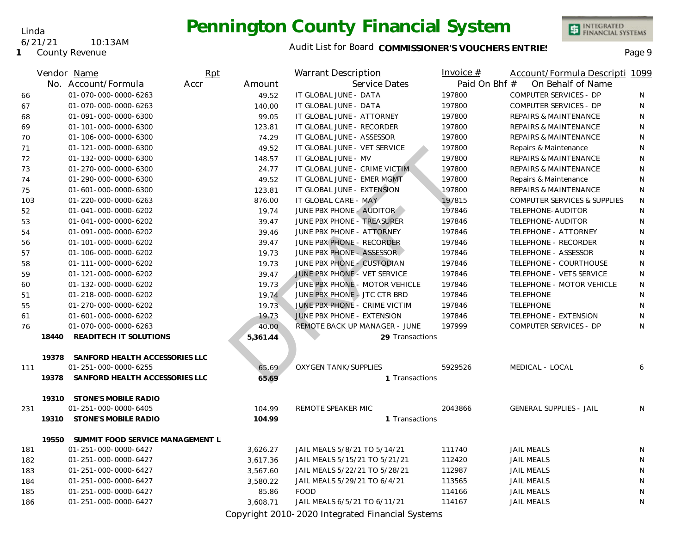Linda 6/21/21 10:13AM

**1** County Revenue

### Audit List for Board COMMISSIONER'S VOUCHERS ENTRIES<br>Page 9

INTEGRATED<br>FINANCIAL SYSTEMS

|     |       | Vendor Name                      | Rpt  |          | <b>Warrant Description</b>                                                                                                                                                                                                                                                                                                                                                           | Invoice $#$   | Account/Formula Descripti 1099          |   |
|-----|-------|----------------------------------|------|----------|--------------------------------------------------------------------------------------------------------------------------------------------------------------------------------------------------------------------------------------------------------------------------------------------------------------------------------------------------------------------------------------|---------------|-----------------------------------------|---|
|     |       | No. Account/Formula              | Accr | Amount   | Service Dates                                                                                                                                                                                                                                                                                                                                                                        | Paid On Bhf # | On Behalf of Name                       |   |
| 66  |       | 01-070-000-0000-6263             |      | 49.52    | IT GLOBAL JUNE - DATA                                                                                                                                                                                                                                                                                                                                                                | 197800        | <b>COMPUTER SERVICES - DP</b>           | N |
| 67  |       | 01-070-000-0000-6263             |      | 140.00   | IT GLOBAL JUNE - DATA                                                                                                                                                                                                                                                                                                                                                                | 197800        | COMPUTER SERVICES - DP                  | N |
| 68  |       | 01-091-000-0000-6300             |      | 99.05    | IT GLOBAL JUNE - ATTORNEY                                                                                                                                                                                                                                                                                                                                                            | 197800        | REPAIRS & MAINTENANCE                   | N |
| 69  |       | 01-101-000-0000-6300             |      | 123.81   | IT GLOBAL JUNE - RECORDER                                                                                                                                                                                                                                                                                                                                                            | 197800        | REPAIRS & MAINTENANCE                   | N |
| 70  |       | 01-106-000-0000-6300             |      | 74.29    | IT GLOBAL JUNE - ASSESSOR                                                                                                                                                                                                                                                                                                                                                            | 197800        | REPAIRS & MAINTENANCE                   | N |
| 71  |       | 01-121-000-0000-6300             |      | 49.52    | IT GLOBAL JUNE - VET SERVICE                                                                                                                                                                                                                                                                                                                                                         | 197800        | Repairs & Maintenance                   | N |
| 72  |       | 01-132-000-0000-6300             |      | 148.57   | IT GLOBAL JUNE - MV                                                                                                                                                                                                                                                                                                                                                                  | 197800        | <b>REPAIRS &amp; MAINTENANCE</b>        | N |
| 73  |       | 01-270-000-0000-6300             |      | 24.77    | IT GLOBAL JUNE - CRIME VICTIM                                                                                                                                                                                                                                                                                                                                                        | 197800        | REPAIRS & MAINTENANCE                   | N |
| 74  |       | 01-290-000-0000-6300             |      | 49.52    | IT GLOBAL JUNE - EMER MGMT                                                                                                                                                                                                                                                                                                                                                           | 197800        | Repairs & Maintenance                   | N |
| 75  |       | 01-601-000-0000-6300             |      | 123.81   | IT GLOBAL JUNE - EXTENSION                                                                                                                                                                                                                                                                                                                                                           | 197800        | REPAIRS & MAINTENANCE                   | N |
| 103 |       | 01-220-000-0000-6263             |      | 876.00   | IT GLOBAL CARE - MAY                                                                                                                                                                                                                                                                                                                                                                 | 197815        | <b>COMPUTER SERVICES &amp; SUPPLIES</b> | N |
| 52  |       | 01-041-000-0000-6202             |      | 19.74    | JUNE PBX PHONE - AUDITOR                                                                                                                                                                                                                                                                                                                                                             | 197846        | TELEPHONE-AUDITOR                       | N |
| 53  |       | 01-041-000-0000-6202             |      | 39.47    | JUNE PBX PHONE - TREASURER                                                                                                                                                                                                                                                                                                                                                           | 197846        | TELEPHONE-AUDITOR                       | N |
| 54  |       | 01-091-000-0000-6202             |      | 39.46    | JUNE PBX PHONE - ATTORNEY                                                                                                                                                                                                                                                                                                                                                            | 197846        | TELEPHONE - ATTORNEY                    | N |
| 56  |       | 01-101-000-0000-6202             |      | 39.47    | JUNE PBX PHONE - RECORDER                                                                                                                                                                                                                                                                                                                                                            | 197846        | TELEPHONE - RECORDER                    | N |
| 57  |       | 01-106-000-0000-6202             |      | 19.73    | JUNE PBX PHONE - ASSESSOR                                                                                                                                                                                                                                                                                                                                                            | 197846        | TELEPHONE - ASSESSOR                    | N |
| 58  |       | 01-111-000-0000-6202             |      | 19.73    | JUNE PBX PHONE - CUSTODIAN                                                                                                                                                                                                                                                                                                                                                           | 197846        | TELEPHONE - COURTHOUSE                  | N |
| 59  |       | 01-121-000-0000-6202             |      | 39.47    | JUNE PBX PHONE - VET SERVICE                                                                                                                                                                                                                                                                                                                                                         | 197846        | TELEPHONE - VETS SERVICE                | N |
| 60  |       | 01-132-000-0000-6202             |      | 19.73    | JUNE PBX PHONE - MOTOR VEHICLE                                                                                                                                                                                                                                                                                                                                                       | 197846        | TELEPHONE - MOTOR VEHICLE               | N |
| 51  |       | 01-218-000-0000-6202             |      | 19.74    | JUNE PBX PHONE - JTC CTR BRD                                                                                                                                                                                                                                                                                                                                                         | 197846        | <b>TELEPHONE</b>                        | N |
| 55  |       | 01-270-000-0000-6202             |      | 19.73    | JUNE PBX PHONE - CRIME VICTIM                                                                                                                                                                                                                                                                                                                                                        | 197846        | <b>TELEPHONE</b>                        | N |
| 61  |       | 01-601-000-0000-6202             |      | 19.73    | JUNE PBX PHONE - EXTENSION                                                                                                                                                                                                                                                                                                                                                           | 197846        | TELEPHONE - EXTENSION                   | N |
| 76  |       | 01-070-000-0000-6263             |      | 40.00    | REMOTE BACK UP MANAGER - JUNE                                                                                                                                                                                                                                                                                                                                                        | 197999        | COMPUTER SERVICES - DP                  | N |
|     | 18440 | READITECH IT SOLUTIONS           |      | 5,361.44 | 29 Transactions                                                                                                                                                                                                                                                                                                                                                                      |               |                                         |   |
|     | 19378 | SANFORD HEALTH ACCESSORIES LLC   |      |          |                                                                                                                                                                                                                                                                                                                                                                                      |               |                                         |   |
| 111 |       | 01-251-000-0000-6255             |      | 65.69    | <b>OXYGEN TANK/SUPPLIES</b>                                                                                                                                                                                                                                                                                                                                                          | 5929526       | MEDICAL - LOCAL                         | 6 |
|     | 19378 | SANFORD HEALTH ACCESSORIES LLC   |      | 65.69    | 1 Transactions                                                                                                                                                                                                                                                                                                                                                                       |               |                                         |   |
|     |       | 19310 STONE'S MOBILE RADIO       |      |          |                                                                                                                                                                                                                                                                                                                                                                                      |               |                                         |   |
| 231 |       | 01-251-000-0000-6405             |      | 104.99   | REMOTE SPEAKER MIC                                                                                                                                                                                                                                                                                                                                                                   | 2043866       | <b>GENERAL SUPPLIES - JAIL</b>          | N |
|     |       | 19310 STONE'S MOBILE RADIO       |      | 104.99   | 1 Transactions                                                                                                                                                                                                                                                                                                                                                                       |               |                                         |   |
|     | 19550 | SUMMIT FOOD SERVICE MANAGEMENT L |      |          |                                                                                                                                                                                                                                                                                                                                                                                      |               |                                         |   |
| 181 |       | 01-251-000-0000-6427             |      | 3,626.27 | JAIL MEALS 5/8/21 TO 5/14/21                                                                                                                                                                                                                                                                                                                                                         | 111740        | <b>JAIL MEALS</b>                       | N |
| 182 |       | 01-251-000-0000-6427             |      | 3,617.36 | JAIL MEALS 5/15/21 TO 5/21/21                                                                                                                                                                                                                                                                                                                                                        | 112420        | <b>JAIL MEALS</b>                       | N |
| 183 |       | 01-251-000-0000-6427             |      | 3,567.60 | JAIL MEALS 5/22/21 TO 5/28/21                                                                                                                                                                                                                                                                                                                                                        | 112987        | <b>JAIL MEALS</b>                       | N |
| 184 |       | 01-251-000-0000-6427             |      | 3,580.22 | JAIL MEALS 5/29/21 TO 6/4/21                                                                                                                                                                                                                                                                                                                                                         | 113565        | <b>JAIL MEALS</b>                       | N |
| 185 |       | 01-251-000-0000-6427             |      | 85.86    | <b>FOOD</b>                                                                                                                                                                                                                                                                                                                                                                          | 114166        | <b>JAIL MEALS</b>                       | N |
| 186 |       | 01-251-000-0000-6427             |      | 3,608.71 | JAIL MEALS 6/5/21 TO 6/11/21                                                                                                                                                                                                                                                                                                                                                         | 114167        | <b>JAIL MEALS</b>                       | N |
|     |       |                                  |      |          | $\overline{1}$ $\overline{1}$ $\overline{2}$ $\overline{3}$ $\overline{4}$ $\overline{2}$ $\overline{2}$ $\overline{2}$ $\overline{2}$ $\overline{2}$ $\overline{2}$ $\overline{2}$ $\overline{2}$ $\overline{1}$ $\overline{2}$ $\overline{1}$ $\overline{2}$ $\overline{1}$ $\overline{2}$ $\overline{1}$ $\overline{2}$ $\overline{1}$ $\overline{2}$ $\overline{1}$ $\overline{$ |               |                                         |   |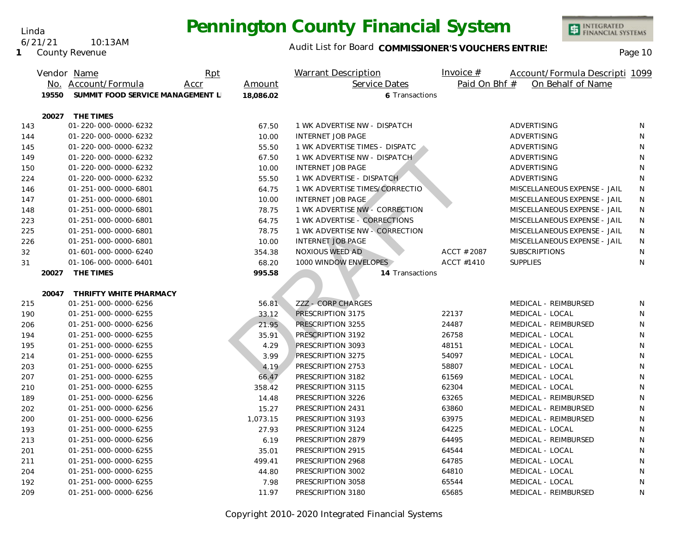#### Linda 6/21/21 10:13AM

**1** County Revenue

#### Audit List for Board COMMISSIONER'S VOUCHERS ENTRIES<br>Page 10

|     |       | Vendor Name                       | Rpt  |           | Warrant Description            | Invoice $#$   | Account/Formula Descripti 1099 |    |
|-----|-------|-----------------------------------|------|-----------|--------------------------------|---------------|--------------------------------|----|
|     |       | No. Account/Formula               | Accr | Amount    | Service Dates                  | Paid On Bhf # | On Behalf of Name              |    |
|     | 19550 | SUMMIT FOOD SERVICE MANAGEMENT L  |      | 18,086.02 | 6 Transactions                 |               |                                |    |
|     |       |                                   |      |           |                                |               |                                |    |
| 143 | 20027 | THE TIMES<br>01-220-000-0000-6232 |      | 67.50     | 1 WK ADVERTISE NW - DISPATCH   |               | ADVERTISING                    | N  |
| 144 |       | 01-220-000-0000-6232              |      | 10.00     | <b>INTERNET JOB PAGE</b>       |               | ADVERTISING                    | N  |
| 145 |       | 01-220-000-0000-6232              |      | 55.50     | 1 WK ADVERTISE TIMES - DISPATC |               | ADVERTISING                    | N  |
| 149 |       | 01-220-000-0000-6232              |      | 67.50     | 1 WK ADVERTISE NW - DISPATCH   |               | ADVERTISING                    | N  |
| 150 |       | 01-220-000-0000-6232              |      | 10.00     | <b>INTERNET JOB PAGE</b>       |               | ADVERTISING                    | N  |
|     |       | 01-220-000-0000-6232              |      | 55.50     | 1 WK ADVERTISE - DISPATCH      |               | ADVERTISING                    | N  |
| 224 |       | 01-251-000-0000-6801              |      | 64.75     | 1 WK ADVERTISE TIMES/CORRECTIO |               |                                | N  |
| 146 |       |                                   |      |           |                                |               | MISCELLANEOUS EXPENSE - JAIL   |    |
| 147 |       | 01-251-000-0000-6801              |      | 10.00     | <b>INTERNET JOB PAGE</b>       |               | MISCELLANEOUS EXPENSE - JAIL   | N  |
| 148 |       | 01-251-000-0000-6801              |      | 78.75     | 1 WK ADVERTISE NW - CORRECTION |               | MISCELLANEOUS EXPENSE - JAIL   | N  |
| 223 |       | 01-251-000-0000-6801              |      | 64.75     | 1 WK ADVERTISE - CORRECTIONS   |               | MISCELLANEOUS EXPENSE - JAIL   | N  |
| 225 |       | 01-251-000-0000-6801              |      | 78.75     | 1 WK ADVERTISE NW - CORRECTION |               | MISCELLANEOUS EXPENSE - JAIL   | N  |
| 226 |       | 01-251-000-0000-6801              |      | 10.00     | <b>INTERNET JOB PAGE</b>       |               | MISCELLANEOUS EXPENSE - JAIL   | N  |
| 32  |       | 01-601-000-0000-6240              |      | 354.38    | NOXIOUS WEED AD                | ACCT # 2087   | <b>SUBSCRIPTIONS</b>           | N. |
| 31  |       | 01-106-000-0000-6401              |      | 68.20     | 1000 WINDOW ENVELOPES          | ACCT #1410    | <b>SUPPLIES</b>                | N  |
|     | 20027 | THE TIMES                         |      | 995.58    | 14 Transactions                |               |                                |    |
|     | 20047 | THRIFTY WHITE PHARMACY            |      |           |                                |               |                                |    |
| 215 |       | 01-251-000-0000-6256              |      | 56.81     | ZZZ - CORP CHARGES             |               | MEDICAL - REIMBURSED           | N  |
| 190 |       | 01-251-000-0000-6255              |      | 33.12     | PRESCRIPTION 3175              | 22137         | MEDICAL - LOCAL                | N  |
| 206 |       | 01-251-000-0000-6256              |      | 21.95     | PRESCRIPTION 3255              | 24487         | MEDICAL - REIMBURSED           | N  |
| 194 |       | 01-251-000-0000-6255              |      | 35.91     | PRESCRIPTION 3192              | 26758         | MEDICAL - LOCAL                | N  |
| 195 |       | 01-251-000-0000-6255              |      | 4.29      | PRESCRIPTION 3093              | 48151         | MEDICAL - LOCAL                | N  |
| 214 |       | 01-251-000-0000-6255              |      | 3.99      | PRESCRIPTION 3275              | 54097         | MEDICAL - LOCAL                | N  |
| 203 |       | 01-251-000-0000-6255              |      | 4.19      | PRESCRIPTION 2753              | 58807         | MEDICAL - LOCAL                | N  |
| 207 |       | 01-251-000-0000-6255              |      | 66.47     | PRESCRIPTION 3182              | 61569         | MEDICAL - LOCAL                | N  |
| 210 |       | 01-251-000-0000-6255              |      | 358.42    | PRESCRIPTION 3115              | 62304         | MEDICAL - LOCAL                | N  |
| 189 |       | 01-251-000-0000-6256              |      | 14.48     | PRESCRIPTION 3226              | 63265         | MEDICAL - REIMBURSED           | N  |
| 202 |       | 01-251-000-0000-6256              |      | 15.27     | PRESCRIPTION 2431              | 63860         | MEDICAL - REIMBURSED           | N  |
| 200 |       | 01-251-000-0000-6256              |      | 1,073.15  | PRESCRIPTION 3193              | 63975         | MEDICAL - REIMBURSED           | N  |
| 193 |       | 01-251-000-0000-6255              |      | 27.93     | PRESCRIPTION 3124              | 64225         | MEDICAL - LOCAL                | N  |
| 213 |       | 01-251-000-0000-6256              |      | 6.19      | PRESCRIPTION 2879              | 64495         | MEDICAL - REIMBURSED           | N  |
| 201 |       | 01-251-000-0000-6255              |      | 35.01     | PRESCRIPTION 2915              | 64544         | MEDICAL - LOCAL                | N  |
| 211 |       | 01-251-000-0000-6255              |      | 499.41    | PRESCRIPTION 2968              | 64785         | MEDICAL - LOCAL                | N  |
| 204 |       | 01-251-000-0000-6255              |      | 44.80     | PRESCRIPTION 3002              | 64810         | MEDICAL - LOCAL                | N  |
| 192 |       | 01-251-000-0000-6255              |      | 7.98      | PRESCRIPTION 3058              | 65544         | MEDICAL - LOCAL                | N  |
| 209 |       | 01-251-000-0000-6256              |      | 11.97     | PRESCRIPTION 3180              | 65685         | MEDICAL - REIMBURSED           | N  |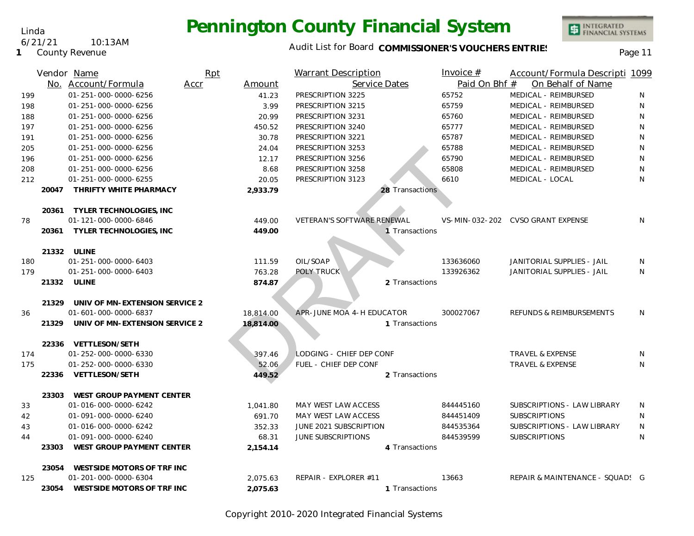#### Audit List for Board COMMISSIONER'S VOUCHERS ENTRIES<br>
Page 11

|     |       | Vendor Name                                                  | Rpt  |           | <b>Warrant Description</b>   |                 | Invoice $#$   | Account/Formula Descripti 1099    |              |
|-----|-------|--------------------------------------------------------------|------|-----------|------------------------------|-----------------|---------------|-----------------------------------|--------------|
|     |       | No. Account/Formula                                          | Accr | Amount    | Service Dates                |                 | Paid On Bhf # | On Behalf of Name                 |              |
| 199 |       | 01-251-000-0000-6256                                         |      | 41.23     | PRESCRIPTION 3225            |                 | 65752         | MEDICAL - REIMBURSED              | N            |
| 198 |       | 01-251-000-0000-6256                                         |      | 3.99      | PRESCRIPTION 3215            |                 | 65759         | MEDICAL - REIMBURSED              | N            |
| 188 |       | 01-251-000-0000-6256                                         |      | 20.99     | PRESCRIPTION 3231            |                 | 65760         | MEDICAL - REIMBURSED              | N            |
| 197 |       | 01-251-000-0000-6256                                         |      | 450.52    | PRESCRIPTION 3240            |                 | 65777         | MEDICAL - REIMBURSED              | N            |
| 191 |       | 01-251-000-0000-6256                                         |      | 30.78     | PRESCRIPTION 3221            |                 | 65787         | MEDICAL - REIMBURSED              | ${\sf N}$    |
| 205 |       | 01-251-000-0000-6256                                         |      | 24.04     | PRESCRIPTION 3253            |                 | 65788         | MEDICAL - REIMBURSED              | $\mathsf{N}$ |
| 196 |       | 01-251-000-0000-6256                                         |      | 12.17     | PRESCRIPTION 3256            |                 | 65790         | MEDICAL - REIMBURSED              | N            |
| 208 |       | 01-251-000-0000-6256                                         |      | 8.68      | PRESCRIPTION 3258            |                 | 65808         | MEDICAL - REIMBURSED              | N            |
| 212 |       | 01-251-000-0000-6255                                         |      | 20.05     | PRESCRIPTION 3123            |                 | 6610          | MEDICAL - LOCAL                   | N            |
|     | 20047 | THRIFTY WHITE PHARMACY                                       |      | 2,933.79  |                              | 28 Transactions |               |                                   |              |
|     |       |                                                              |      |           |                              |                 |               |                                   |              |
|     | 20361 | <b>TYLER TECHNOLOGIES, INC</b>                               |      |           |                              |                 |               |                                   |              |
| 78  |       | 01-121-000-0000-6846                                         |      | 449.00    | VETERAN'S SOFTWARE RENEWAL   |                 |               | VS-MIN-032-202 CVSO GRANT EXPENSE | N            |
|     |       | 20361 TYLER TECHNOLOGIES, INC                                |      | 449.00    |                              | 1 Transactions  |               |                                   |              |
|     |       |                                                              |      |           |                              |                 |               |                                   |              |
|     |       | 21332 ULINE                                                  |      |           |                              |                 |               |                                   |              |
| 180 |       | 01-251-000-0000-6403                                         |      | 111.59    | OIL/SOAP                     |                 | 133636060     | JANITORIAL SUPPLIES - JAIL        | N            |
| 179 |       | 01-251-000-0000-6403                                         |      | 763.28    | POLY TRUCK                   |                 | 133926362     | JANITORIAL SUPPLIES - JAIL        | N            |
|     |       | 21332 ULINE                                                  |      | 874.87    |                              | 2 Transactions  |               |                                   |              |
|     |       |                                                              |      |           |                              |                 |               |                                   |              |
| 36  |       | 21329 UNIV OF MN-EXTENSION SERVICE 2<br>01-601-000-0000-6837 |      | 18,814.00 | APR-JUNE MOA 4-H EDUCATOR    |                 | 300027067     | REFUNDS & REIMBURSEMENTS          | N            |
|     |       | 21329 UNIV OF MN-EXTENSION SERVICE 2                         |      | 18,814.00 |                              | 1 Transactions  |               |                                   |              |
|     |       |                                                              |      |           |                              |                 |               |                                   |              |
|     | 22336 | <b>VETTLESON/SETH</b>                                        |      |           |                              |                 |               |                                   |              |
| 174 |       | 01-252-000-0000-6330                                         |      | 397.46    | LODGING - CHIEF DEP CONF     |                 |               | TRAVEL & EXPENSE                  | N            |
| 175 |       | 01-252-000-0000-6330                                         |      | 52.06     | <b>FUEL - CHIEF DEP CONF</b> |                 |               | <b>TRAVEL &amp; EXPENSE</b>       | N            |
|     | 22336 | <b>VETTLESON/SETH</b>                                        |      | 449.52    |                              | 2 Transactions  |               |                                   |              |
|     |       |                                                              |      |           |                              |                 |               |                                   |              |
|     |       | 23303 WEST GROUP PAYMENT CENTER                              |      |           |                              |                 |               |                                   |              |
| 33  |       | 01-016-000-0000-6242                                         |      | 1,041.80  | MAY WEST LAW ACCESS          |                 | 844445160     | SUBSCRIPTIONS - LAW LIBRARY       | N            |
| 42  |       | 01-091-000-0000-6240                                         |      | 691.70    | MAY WEST LAW ACCESS          |                 | 844451409     | <b>SUBSCRIPTIONS</b>              | N            |
| 43  |       | 01-016-000-0000-6242                                         |      | 352.33    | JUNE 2021 SUBSCRIPTION       |                 | 844535364     | SUBSCRIPTIONS - LAW LIBRARY       | N            |
| 44  |       | 01-091-000-0000-6240                                         |      | 68.31     | <b>JUNE SUBSCRIPTIONS</b>    |                 | 844539599     | <b>SUBSCRIPTIONS</b>              | N            |
|     | 23303 | WEST GROUP PAYMENT CENTER                                    |      | 2,154.14  |                              | 4 Transactions  |               |                                   |              |
|     |       | 23054 WESTSIDE MOTORS OF TRF INC                             |      |           |                              |                 |               |                                   |              |
| 125 |       | 01-201-000-0000-6304                                         |      | 2.075.63  | REPAIR - EXPLORER #11        |                 | 13663         | REPAIR & MAINTENANCE - SQUAD! G   |              |
|     |       | 23054 WESTSIDE MOTORS OF TRF INC                             |      | 2,075.63  |                              | 1 Transactions  |               |                                   |              |
|     |       |                                                              |      |           |                              |                 |               |                                   |              |

Copyright 2010-2020 Integrated Financial Systems

Linda 6/21/21 10:13AM

**1** County Revenue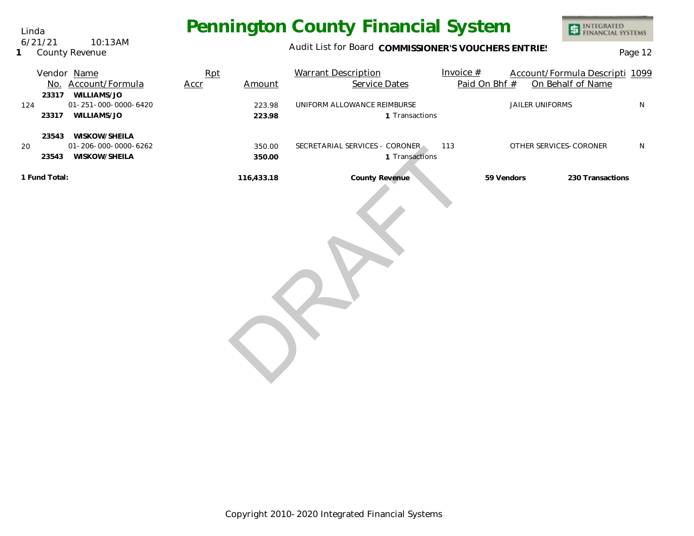Audit List for Board COMMISSIONER'S VOUCHERS ENTRIES<br>Page 12

## Vendor <u>Name</u> Rpt Warrant Description Invoice # Account/Formula Descripti 1099 Account/Formula No. Accr Amount Service Dates Paid On Bhf # On Behalf of Name 124 01-251-000-0000-6420 223.98 20 350.00 **223.98 1 350.00 1 116,433.18 23317 WILLIAMS/JO** UNIFORM ALLOWANCE REIMBURSE **All and Solution Container State And Allien** Uniforms N **23317** Transactions **WILLIAMS/JO 23543 WISKOW/SHEILA** SECRETARIAL SERVICES - CORONER 113 OTHER SERVICES-CORONER N **23543** Transactions **WISKOW/SHEILA 1 Fund Total: County Revenue 59 Vendors 230 Transactions** 350.00 SECRETARIAL SERVICES - CURUNER<br>350.00 116,433.18 County Revenue

Linda 6/21/21 10:13AM

**1** County Revenue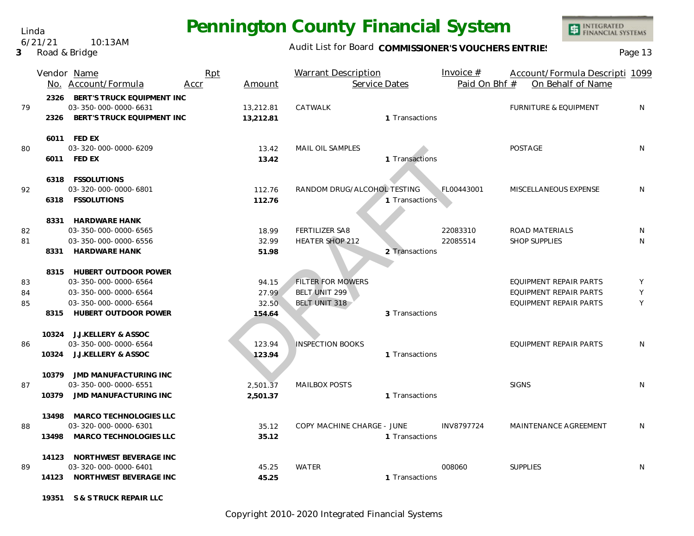Audit List for Board COMMISSIONER'S VOUCHERS ENTRIES<br>Page 13

|    |       | Vendor Name<br>No. Account/Formula                      | Rpt<br>Accr | Amount    | <b>Warrant Description</b><br>Service Dates |                | Invoice $#$<br>Paid On Bhf # | Account/Formula Descripti 1099<br>On Behalf of Name |   |
|----|-------|---------------------------------------------------------|-------------|-----------|---------------------------------------------|----------------|------------------------------|-----------------------------------------------------|---|
| 79 |       | 2326 BERT'S TRUCK EQUIPMENT INC<br>03-350-000-0000-6631 |             | 13,212.81 | CATWALK                                     |                |                              | <b>FURNITURE &amp; EQUIPMENT</b>                    | N |
|    |       | 2326 BERT'S TRUCK EQUIPMENT INC                         |             | 13,212.81 |                                             | 1 Transactions |                              |                                                     |   |
|    |       | 6011 FED EX                                             |             |           |                                             |                |                              |                                                     |   |
| 80 |       | 03-320-000-0000-6209                                    |             | 13.42     | MAIL OIL SAMPLES                            |                |                              | <b>POSTAGE</b>                                      | N |
|    |       | 6011 FED EX                                             |             | 13.42     |                                             | 1 Transactions |                              |                                                     |   |
|    |       | 6318 FSSOLUTIONS                                        |             |           |                                             |                |                              |                                                     |   |
| 92 |       | 03-320-000-0000-6801                                    |             | 112.76    | RANDOM DRUG/ALCOHOL TESTING                 |                | FL00443001                   | MISCELLANEOUS EXPENSE                               | N |
|    |       | 6318 FSSOLUTIONS                                        |             | 112.76    |                                             | 1 Transactions |                              |                                                     |   |
|    |       | 8331 HARDWARE HANK                                      |             |           |                                             |                |                              |                                                     |   |
| 82 |       | 03-350-000-0000-6565                                    |             | 18.99     | FERTILIZER SA8                              |                | 22083310                     | ROAD MATERIALS                                      | N |
| 81 |       | 03-350-000-0000-6556                                    |             | 32.99     | HEATER SHOP 212                             |                | 22085514                     | <b>SHOP SUPPLIES</b>                                | N |
|    | 8331  | HARDWARE HANK                                           |             | 51.98     |                                             | 2 Transactions |                              |                                                     |   |
|    |       | 8315 HUBERT OUTDOOR POWER                               |             |           |                                             |                |                              |                                                     |   |
| 83 |       | 03-350-000-0000-6564                                    |             | 94.15     | <b>FILTER FOR MOWERS</b>                    |                |                              | EQUIPMENT REPAIR PARTS                              | Y |
| 84 |       | 03-350-000-0000-6564                                    |             | 27.99     | BELT UNIT 299                               |                |                              | <b>EQUIPMENT REPAIR PARTS</b>                       | Y |
| 85 |       | 03-350-000-0000-6564                                    |             | 32.50     | BELT UNIT 318                               |                |                              | <b>EQUIPMENT REPAIR PARTS</b>                       | Y |
|    |       | 8315 HUBERT OUTDOOR POWER                               |             | 154.64    |                                             | 3 Transactions |                              |                                                     |   |
|    |       | 10324 J.J.KELLERY & ASSOC                               |             |           |                                             |                |                              |                                                     |   |
| 86 |       | 03-350-000-0000-6564                                    |             | 123.94    | <b>INSPECTION BOOKS</b>                     |                |                              | EQUIPMENT REPAIR PARTS                              | N |
|    |       | 10324 J.J.KELLERY & ASSOC                               |             | 123.94    |                                             | 1 Transactions |                              |                                                     |   |
|    |       | 10379 JMD MANUFACTURING INC                             |             |           |                                             |                |                              |                                                     |   |
| 87 |       | 03-350-000-0000-6551                                    |             | 2,501.37  | <b>MAILBOX POSTS</b>                        |                |                              | <b>SIGNS</b>                                        | N |
|    |       | 10379 JMD MANUFACTURING INC                             |             | 2,501.37  |                                             | 1 Transactions |                              |                                                     |   |
|    | 13498 | MARCO TECHNOLOGIES LLC                                  |             |           |                                             |                |                              |                                                     |   |
| 88 |       | 03-320-000-0000-6301                                    |             | 35.12     | COPY MACHINE CHARGE - JUNE                  |                | INV8797724                   | MAINTENANCE AGREEMENT                               | N |
|    |       | 13498 MARCO TECHNOLOGIES LLC                            |             | 35.12     |                                             | 1 Transactions |                              |                                                     |   |
|    |       | 14123 NORTHWEST BEVERAGE INC                            |             |           |                                             |                |                              |                                                     |   |
| 89 |       | 03-320-000-0000-6401                                    |             | 45.25     | <b>WATER</b>                                |                | 008060                       | <b>SUPPLIES</b>                                     | N |
|    |       | 14123 NORTHWEST BEVERAGE INC                            |             | 45.25     |                                             | 1 Transactions |                              |                                                     |   |
|    |       | 19351 S & S TRUCK REPAIR LLC                            |             |           |                                             |                |                              |                                                     |   |

Copyright 2010-2020 Integrated Financial Systems

Linda

6/21/21 10:13AM

#### **3** Road & Bridge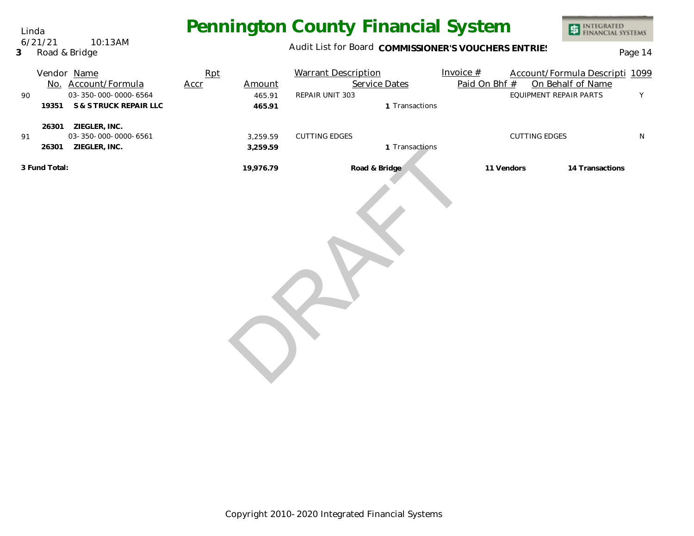Audit List for Board COMMISSIONER'S VOUCHERS ENTRIES<br>Page 14

| 90                                                        | 19351 | Vendor Name<br>No. Account/Formula<br>03-350-000-0000-6564<br>S & S TRUCK REPAIR LLC | Rpt<br>Accr | Amount<br>465.91<br>465.91 | <b>Warrant Description</b><br>Service Dates<br>REPAIR UNIT 303<br>1 Transactions | Invoice $#$<br>Paid On Bhf # | EQUIPMENT REPAIR PARTS | Account/Formula Descripti 1099<br>On Behalf of Name | Y         |
|-----------------------------------------------------------|-------|--------------------------------------------------------------------------------------|-------------|----------------------------|----------------------------------------------------------------------------------|------------------------------|------------------------|-----------------------------------------------------|-----------|
| 91                                                        | 26301 | 26301 ZIEGLER, INC.<br>03-350-000-0000-6561<br>ZIEGLER, INC.                         |             | 3,259.59<br>3,259.59       | <b>CUTTING EDGES</b><br>1 Transactions                                           |                              | <b>CUTTING EDGES</b>   |                                                     | ${\sf N}$ |
| 3 Fund Total:<br>Road & Bridge<br>19,976.79<br>11 Vendors |       |                                                                                      |             | 14 Transactions            |                                                                                  |                              |                        |                                                     |           |
|                                                           |       |                                                                                      |             |                            |                                                                                  |                              |                        |                                                     |           |

Copyright 2010-2020 Integrated Financial Systems

Linda 6/21/21 10:13AM

**3** Road & Bridge

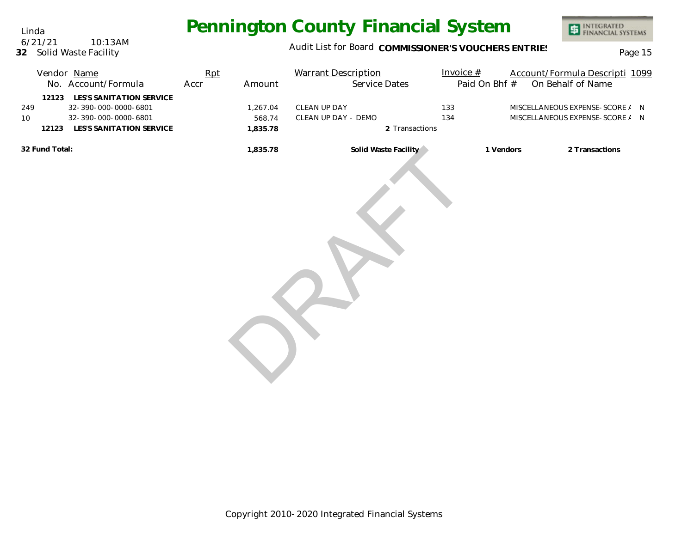Audit List for Board COMMISSIONER'S VOUCHERS ENTRIES<br>Page 15

INTEGRATED<br>FINANCIAL SYSTEMS

|                |                | Vendor Name<br>No. Account/Formula                                                                   | Rpt<br>Accr | Amount                         | <b>Warrant Description</b><br>Service Dates |                | Invoice $#$<br>Paid On Bhf # | Account/Formula Descripti 1099<br>On Behalf of Name                |  |
|----------------|----------------|------------------------------------------------------------------------------------------------------|-------------|--------------------------------|---------------------------------------------|----------------|------------------------------|--------------------------------------------------------------------|--|
| 249<br>10      | 12123<br>12123 | LES'S SANITATION SERVICE<br>32-390-000-0000-6801<br>32-390-000-0000-6801<br>LES'S SANITATION SERVICE |             | 1,267.04<br>568.74<br>1,835.78 | CLEAN UP DAY<br>CLEAN UP DAY - DEMO         | 2 Transactions | 133<br>134                   | MISCELLANEOUS EXPENSE-SCORE / N<br>MISCELLANEOUS EXPENSE-SCORE / N |  |
| 32 Fund Total: |                |                                                                                                      |             | 1,835.78                       | Solid Waste Facility                        |                | 1 Vendors                    | 2 Transactions                                                     |  |

Linda **32** Solid Waste Facility 6/21/21 10:13AM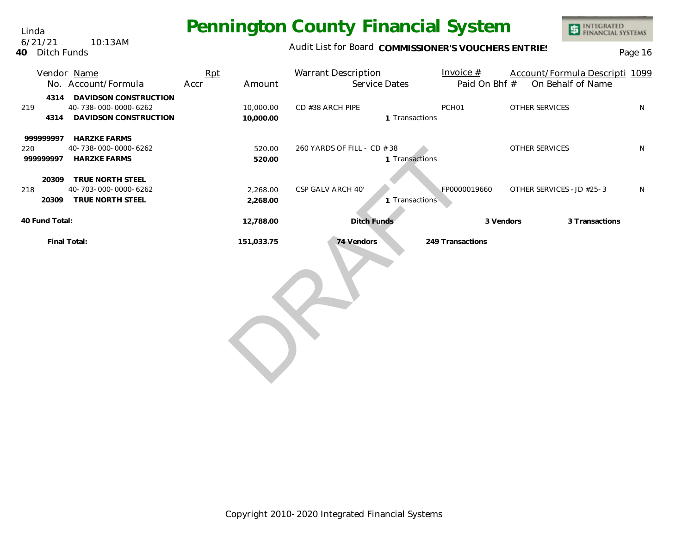Linda **40** Ditch Funds 6/21/21 10:13AM

### Audit List for Board COMMISSIONER'S VOUCHERS ENTRIES<br>Page 16

|                               | Vendor Name<br>No. Account/Formula                                     | Rpt<br>Amount<br>Accr  | <b>Warrant Description</b><br>Service Dates   | Invoice $#$<br>Paid On Bhf # | Account/Formula Descripti 1099<br>On Behalf of Name |              |
|-------------------------------|------------------------------------------------------------------------|------------------------|-----------------------------------------------|------------------------------|-----------------------------------------------------|--------------|
| 4314<br>219<br>4314           | DAVIDSON CONSTRUCTION<br>40-738-000-0000-6262<br>DAVIDSON CONSTRUCTION | 10,000.00<br>10,000.00 | CD #38 ARCH PIPE<br>1 Transactions            | PCH <sub>01</sub>            | <b>OTHER SERVICES</b>                               | $\mathsf{N}$ |
| 999999997<br>220<br>999999997 | <b>HARZKE FARMS</b><br>40-738-000-0000-6262<br><b>HARZKE FARMS</b>     | 520.00<br>520.00       | 260 YARDS OF FILL - CD # 38<br>1 Transactions |                              | <b>OTHER SERVICES</b>                               | N            |
| 20309<br>218<br>20309         | TRUE NORTH STEEL<br>40-703-000-0000-6262<br>TRUE NORTH STEEL           | 2,268.00<br>2,268.00   | CSP GALV ARCH 40'<br>1 Transactions           | FP0000019660                 | OTHER SERVICES - JD #25-3                           | N            |
| 40 Fund Total:                |                                                                        | 12,788.00              | Ditch Funds                                   |                              | 3 Transactions<br>3 Vendors                         |              |
|                               | Final Total:                                                           | 151,033.75             | 74 Vendors                                    | 249 Transactions             |                                                     |              |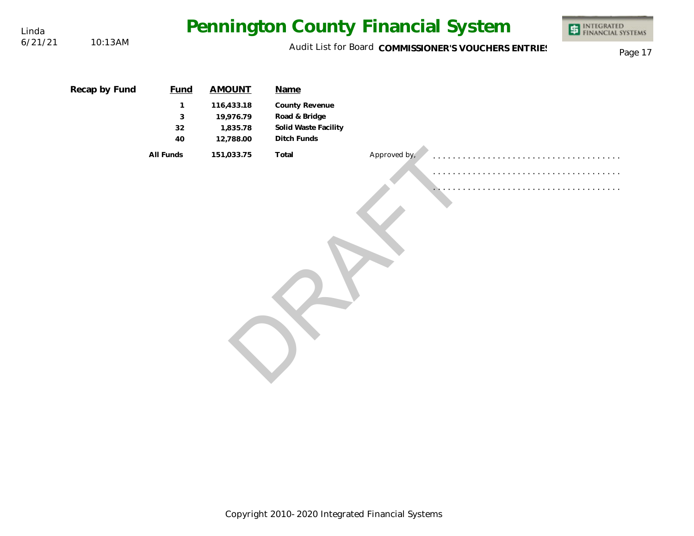| Linda   |               | Pennington County Financial System | INTEGRATED<br>FINANCIAL SYSTEMS<br>事             |                                                                        |              |                                                      |         |
|---------|---------------|------------------------------------|--------------------------------------------------|------------------------------------------------------------------------|--------------|------------------------------------------------------|---------|
| 6/21/21 | 10:13AM       |                                    |                                                  |                                                                        |              | Audit List for Board COMMISSIONER'S VOUCHERS ENTRIES | Page 17 |
|         | Recap by Fund | <b>Fund</b>                        | <b>AMOUNT</b>                                    | Name                                                                   |              |                                                      |         |
|         |               | 1<br>$\sqrt{3}$<br>32<br>40        | 116,433.18<br>19,976.79<br>1,835.78<br>12,788.00 | County Revenue<br>Road & Bridge<br>Solid Waste Facility<br>Ditch Funds |              |                                                      |         |
|         |               | All Funds                          | 151,033.75                                       | Total                                                                  | Approved by, |                                                      |         |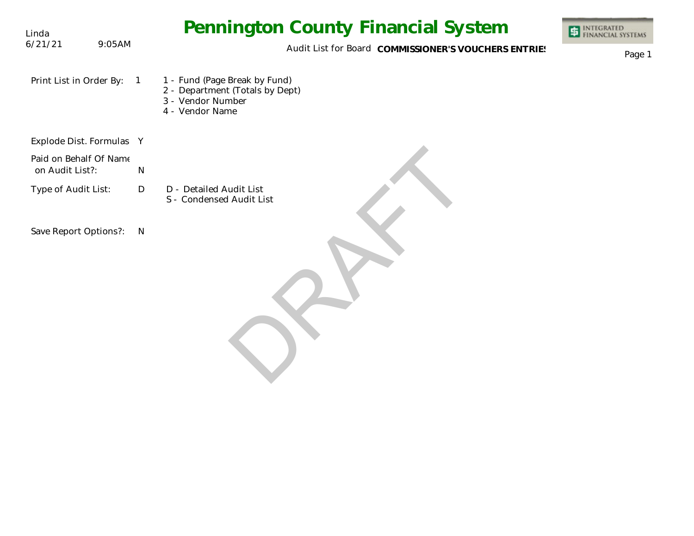| Linda                                     |                | <b>Pennington County Financial System</b>                                                                | INTEGRATED<br>FINANCIAL SYSTEMS |
|-------------------------------------------|----------------|----------------------------------------------------------------------------------------------------------|---------------------------------|
| 6/21/21                                   | 9:05AM         | Audit List for Board COMMISSIONER'S VOUCHERS ENTRIES                                                     | Page 1                          |
| Print List in Order By:                   | $\overline{1}$ | 1 - Fund (Page Break by Fund)<br>2 - Department (Totals by Dept)<br>3 - Vendor Number<br>4 - Vendor Name |                                 |
| Explode Dist. Formulas Y                  |                |                                                                                                          |                                 |
| Paid on Behalf Of Name<br>on Audit List?: | ${\sf N}$      |                                                                                                          |                                 |
| Type of Audit List:                       | D              | D - Detailed Audit List<br>S - Condensed Audit List                                                      |                                 |
| Save Report Options?:<br>$\mathsf{N}$     |                |                                                                                                          |                                 |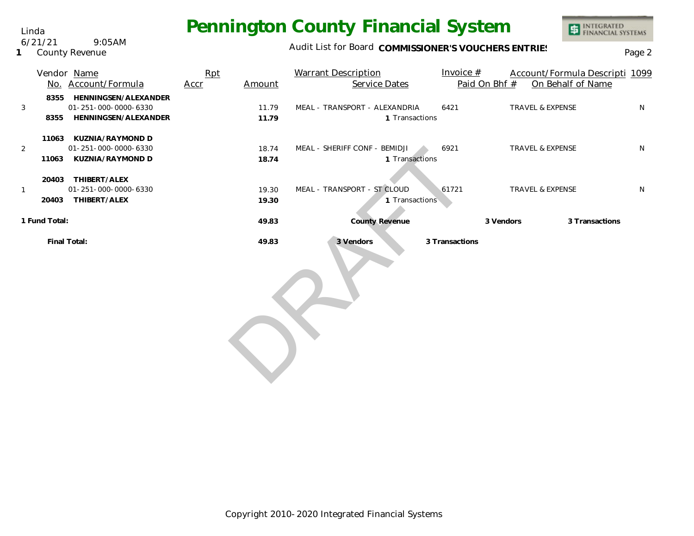Linda 6/21/21 9:05AM

**1** County Revenue

### Audit List for Board COMMISSIONER'S VOUCHERS ENTRIES<br>Page 2

|                                | Vendor Name<br>No. Account/Formula                                   | Rpt<br>Accr | Amount         | <b>Warrant Description</b><br>Service Dates     | Invoice $#$<br>Paid On Bhf # | Account/Formula Descripti 1099<br>On Behalf of Name |   |
|--------------------------------|----------------------------------------------------------------------|-------------|----------------|-------------------------------------------------|------------------------------|-----------------------------------------------------|---|
| 8355<br>3<br>8355              | HENNINGSEN/ALEXANDER<br>01-251-000-0000-6330<br>HENNINGSEN/ALEXANDER |             | 11.79<br>11.79 | MEAL - TRANSPORT - ALEXANDRIA<br>1 Transactions | 6421                         | <b>TRAVEL &amp; EXPENSE</b>                         | N |
| 2<br>11063                     | 11063 KUZNIA/RAYMOND D<br>01-251-000-0000-6330<br>KUZNIA/RAYMOND D   |             | 18.74<br>18.74 | MEAL - SHERIFF CONF - BEMIDJI<br>1 Transactions | 6921                         | TRAVEL & EXPENSE                                    | N |
| 20403<br>$\mathbf{1}$<br>20403 | THIBERT/ALEX<br>01-251-000-0000-6330<br>THIBERT/ALEX                 |             | 19.30<br>19.30 | MEAL - TRANSPORT - ST CLOUD<br>1 Transactions   | 61721                        | TRAVEL & EXPENSE                                    | N |
| 1 Fund Total:                  |                                                                      |             | 49.83          | <b>County Revenue</b>                           |                              | 3 Transactions<br>3 Vendors                         |   |
|                                | Final Total:                                                         |             | 49.83          | 3 Vendors                                       | 3 Transactions               |                                                     |   |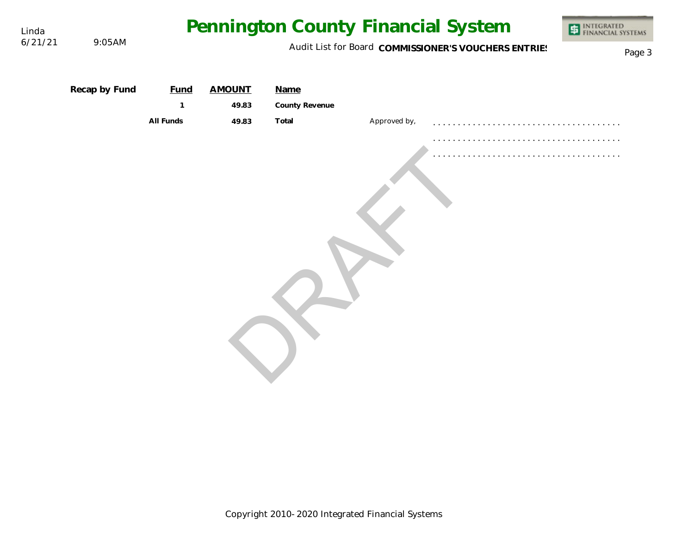| Linda<br>6/21/21 | 9:05AM        | Pennington County Financial System       | INTEGRATED<br>FINANCIAL SYSTEMS<br>Page 3 |                                 |              |  |  |
|------------------|---------------|------------------------------------------|-------------------------------------------|---------------------------------|--------------|--|--|
|                  | Recap by Fund | <b>Fund</b><br>$\mathbf{1}$<br>All Funds | <b>AMOUNT</b><br>49.83<br>49.83           | Name<br>County Revenue<br>Total | Approved by, |  |  |
|                  |               |                                          |                                           |                                 |              |  |  |